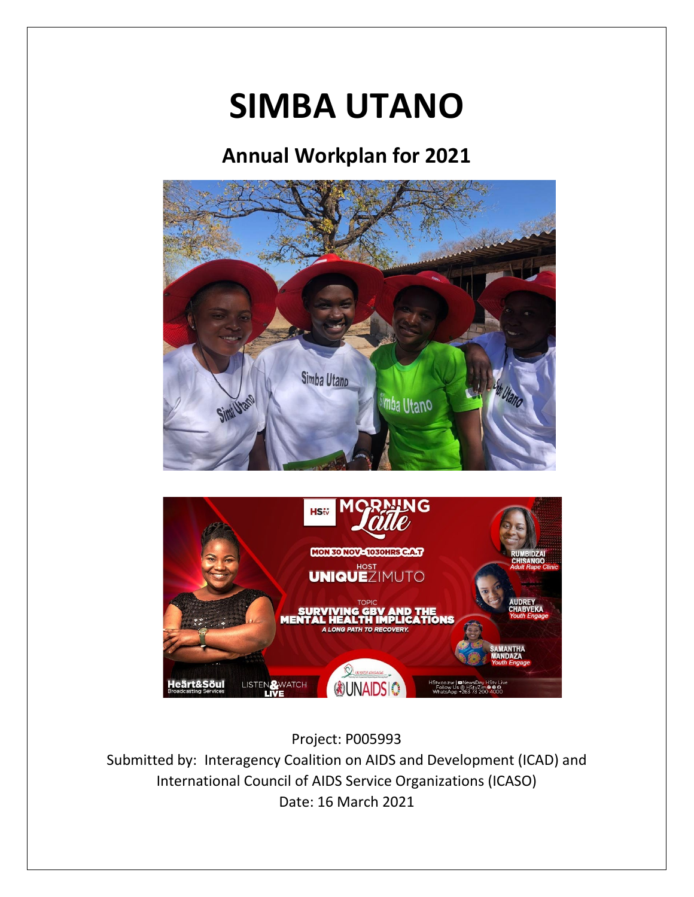# **SIMBA UTANO**

## **Annual Workplan for 2021**





## Project: P005993

Submitted by: Interagency Coalition on AIDS and Development (ICAD) and International Council of AIDS Service Organizations (ICASO) Date: 16 March 2021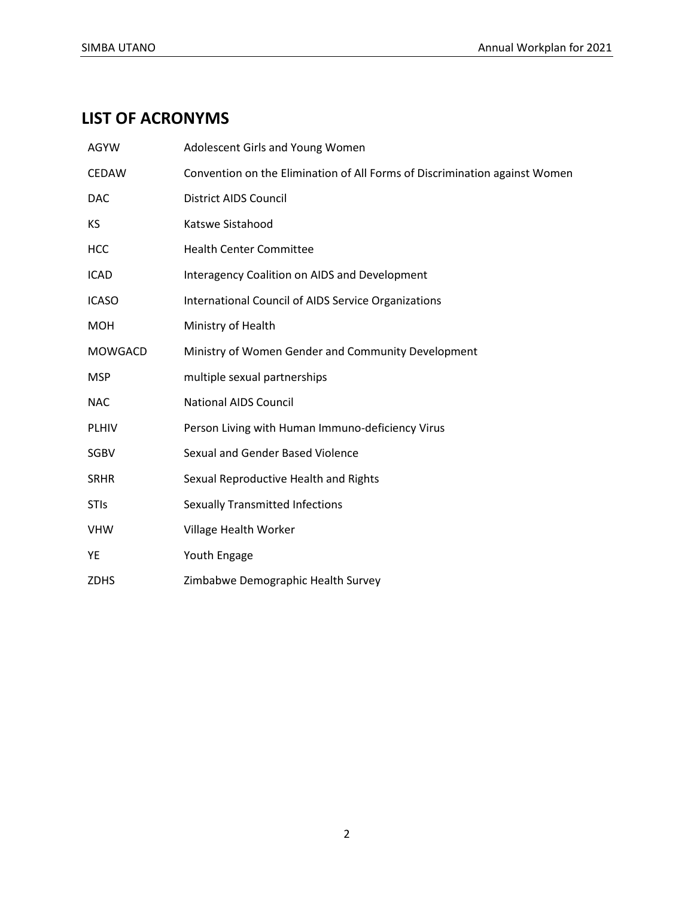## **LIST OF ACRONYMS**

| <b>AGYW</b>    | Adolescent Girls and Young Women                                           |
|----------------|----------------------------------------------------------------------------|
| CEDAW          | Convention on the Elimination of All Forms of Discrimination against Women |
| <b>DAC</b>     | District AIDS Council                                                      |
| KS             | Katswe Sistahood                                                           |
| <b>HCC</b>     | <b>Health Center Committee</b>                                             |
| <b>ICAD</b>    | Interagency Coalition on AIDS and Development                              |
| <b>ICASO</b>   | International Council of AIDS Service Organizations                        |
| <b>MOH</b>     | Ministry of Health                                                         |
| <b>MOWGACD</b> | Ministry of Women Gender and Community Development                         |
| <b>MSP</b>     | multiple sexual partnerships                                               |
| <b>NAC</b>     | <b>National AIDS Council</b>                                               |
| <b>PLHIV</b>   | Person Living with Human Immuno-deficiency Virus                           |
| <b>SGBV</b>    | Sexual and Gender Based Violence                                           |
| <b>SRHR</b>    | Sexual Reproductive Health and Rights                                      |
| <b>STIs</b>    | <b>Sexually Transmitted Infections</b>                                     |
| <b>VHW</b>     | Village Health Worker                                                      |
| YE             | Youth Engage                                                               |
| <b>ZDHS</b>    | Zimbabwe Demographic Health Survey                                         |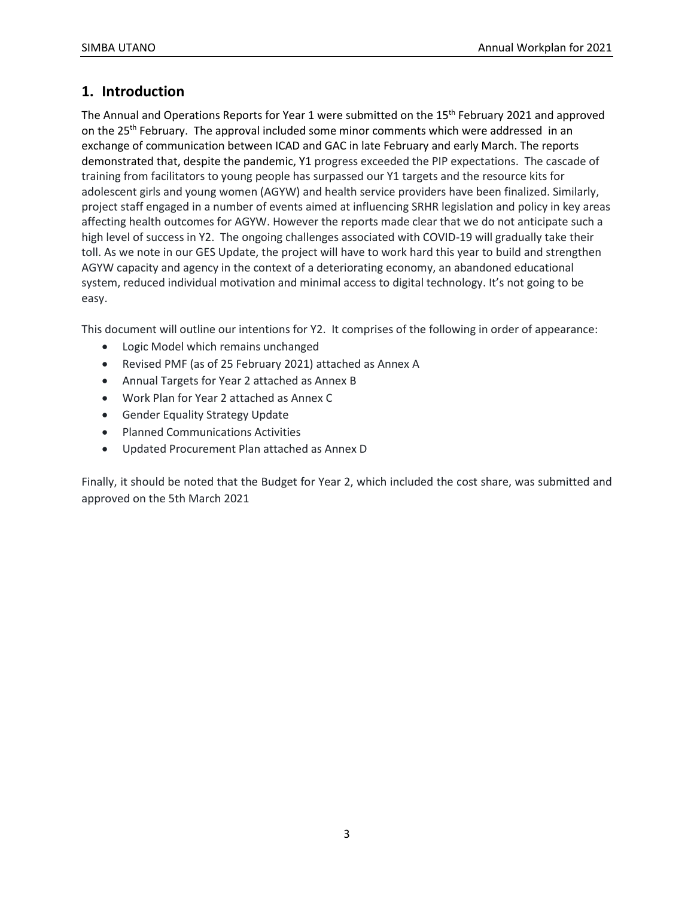## **1. Introduction**

The Annual and Operations Reports for Year 1 were submitted on the 15<sup>th</sup> February 2021 and approved on the 25<sup>th</sup> February. The approval included some minor comments which were addressed in an exchange of communication between ICAD and GAC in late February and early March. The reports demonstrated that, despite the pandemic, Y1 progress exceeded the PIP expectations. The cascade of training from facilitators to young people has surpassed our Y1 targets and the resource kits for adolescent girls and young women (AGYW) and health service providers have been finalized. Similarly, project staff engaged in a number of events aimed at influencing SRHR legislation and policy in key areas affecting health outcomes for AGYW. However the reports made clear that we do not anticipate such a high level of success in Y2. The ongoing challenges associated with COVID-19 will gradually take their toll. As we note in our GES Update, the project will have to work hard this year to build and strengthen AGYW capacity and agency in the context of a deteriorating economy, an abandoned educational system, reduced individual motivation and minimal access to digital technology. It's not going to be easy.

This document will outline our intentions for Y2. It comprises of the following in order of appearance:

- Logic Model which remains unchanged
- Revised PMF (as of 25 February 2021) attached as Annex A
- Annual Targets for Year 2 attached as Annex B
- Work Plan for Year 2 attached as Annex C
- Gender Equality Strategy Update
- Planned Communications Activities
- Updated Procurement Plan attached as Annex D

Finally, it should be noted that the Budget for Year 2, which included the cost share, was submitted and approved on the 5th March 2021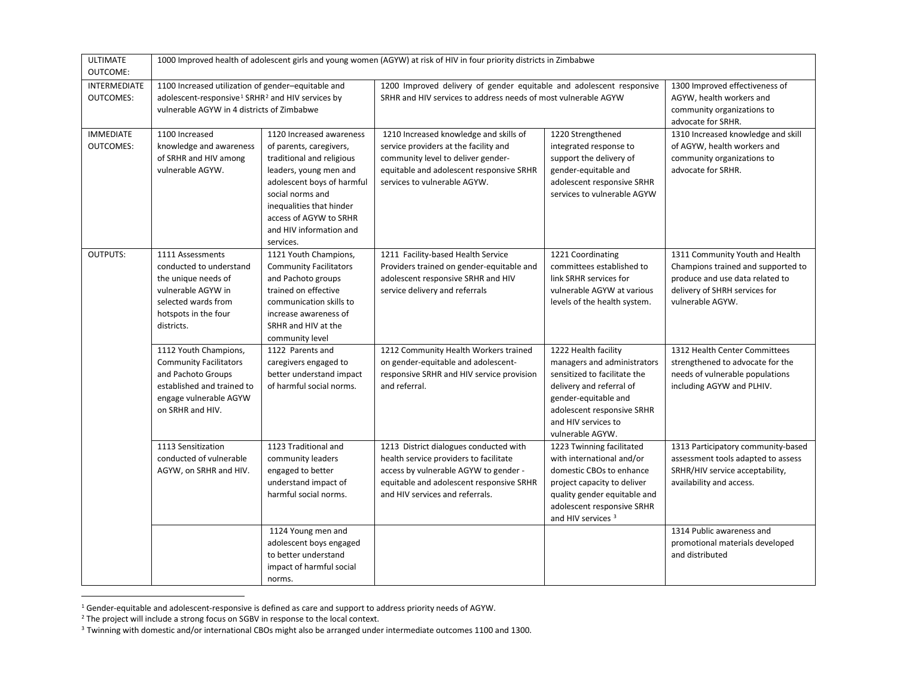<span id="page-3-2"></span><span id="page-3-1"></span><span id="page-3-0"></span>

| <b>ULTIMATE</b><br>OUTCOME:          |                                                                                                                                                                              |                                                                                                                                                                                                                                                            | 1000 Improved health of adolescent girls and young women (AGYW) at risk of HIV in four priority districts in Zimbabwe                                                                                    |                                                                                                                                                                                                                  |                                                                                                                                                               |
|--------------------------------------|------------------------------------------------------------------------------------------------------------------------------------------------------------------------------|------------------------------------------------------------------------------------------------------------------------------------------------------------------------------------------------------------------------------------------------------------|----------------------------------------------------------------------------------------------------------------------------------------------------------------------------------------------------------|------------------------------------------------------------------------------------------------------------------------------------------------------------------------------------------------------------------|---------------------------------------------------------------------------------------------------------------------------------------------------------------|
| INTERMEDIATE<br><b>OUTCOMES:</b>     | 1100 Increased utilization of gender-equitable and<br>adolescent-responsive <sup>1</sup> SRHR <sup>2</sup> and HIV services by<br>vulnerable AGYW in 4 districts of Zimbabwe |                                                                                                                                                                                                                                                            | 1200 Improved delivery of gender equitable and adolescent responsive<br>SRHR and HIV services to address needs of most vulnerable AGYW                                                                   |                                                                                                                                                                                                                  | 1300 Improved effectiveness of<br>AGYW, health workers and<br>community organizations to<br>advocate for SRHR.                                                |
| <b>IMMEDIATE</b><br><b>OUTCOMES:</b> | 1100 Increased<br>knowledge and awareness<br>of SRHR and HIV among<br>vulnerable AGYW.                                                                                       | 1120 Increased awareness<br>of parents, caregivers,<br>traditional and religious<br>leaders, young men and<br>adolescent boys of harmful<br>social norms and<br>inequalities that hinder<br>access of AGYW to SRHR<br>and HIV information and<br>services. | 1210 Increased knowledge and skills of<br>service providers at the facility and<br>community level to deliver gender-<br>equitable and adolescent responsive SRHR<br>services to vulnerable AGYW.        | 1220 Strengthened<br>integrated response to<br>support the delivery of<br>gender-equitable and<br>adolescent responsive SRHR<br>services to vulnerable AGYW                                                      | 1310 Increased knowledge and skill<br>of AGYW, health workers and<br>community organizations to<br>advocate for SRHR.                                         |
| <b>OUTPUTS:</b>                      | 1111 Assessments<br>conducted to understand<br>the unique needs of<br>vulnerable AGYW in<br>selected wards from<br>hotspots in the four<br>districts.                        | 1121 Youth Champions,<br><b>Community Facilitators</b><br>and Pachoto groups<br>trained on effective<br>communication skills to<br>increase awareness of<br>SRHR and HIV at the<br>community level                                                         | 1211 Facility-based Health Service<br>Providers trained on gender-equitable and<br>adolescent responsive SRHR and HIV<br>service delivery and referrals                                                  | 1221 Coordinating<br>committees established to<br>link SRHR services for<br>vulnerable AGYW at various<br>levels of the health system.                                                                           | 1311 Community Youth and Health<br>Champions trained and supported to<br>produce and use data related to<br>delivery of SHRH services for<br>vulnerable AGYW. |
|                                      | 1112 Youth Champions,<br><b>Community Facilitators</b><br>and Pachoto Groups<br>established and trained to<br>engage vulnerable AGYW<br>on SRHR and HIV.                     | 1122 Parents and<br>caregivers engaged to<br>better understand impact<br>of harmful social norms.                                                                                                                                                          | 1212 Community Health Workers trained<br>on gender-equitable and adolescent-<br>responsive SRHR and HIV service provision<br>and referral.                                                               | 1222 Health facility<br>managers and administrators<br>sensitized to facilitate the<br>delivery and referral of<br>gender-equitable and<br>adolescent responsive SRHR<br>and HIV services to<br>vulnerable AGYW. | 1312 Health Center Committees<br>strengthened to advocate for the<br>needs of vulnerable populations<br>including AGYW and PLHIV.                             |
|                                      | 1113 Sensitization<br>conducted of vulnerable<br>AGYW, on SRHR and HIV.                                                                                                      | 1123 Traditional and<br>community leaders<br>engaged to better<br>understand impact of<br>harmful social norms.                                                                                                                                            | 1213 District dialogues conducted with<br>health service providers to facilitate<br>access by vulnerable AGYW to gender -<br>equitable and adolescent responsive SRHR<br>and HIV services and referrals. | 1223 Twinning facilitated<br>with international and/or<br>domestic CBOs to enhance<br>project capacity to deliver<br>quality gender equitable and<br>adolescent responsive SRHR<br>and HIV services <sup>3</sup> | 1313 Participatory community-based<br>assessment tools adapted to assess<br>SRHR/HIV service acceptability,<br>availability and access.                       |
|                                      |                                                                                                                                                                              | 1124 Young men and<br>adolescent boys engaged<br>to better understand<br>impact of harmful social<br>norms.                                                                                                                                                |                                                                                                                                                                                                          |                                                                                                                                                                                                                  | 1314 Public awareness and<br>promotional materials developed<br>and distributed                                                                               |

<sup>1</sup> Gender-equitable and adolescent-responsive is defined as care and support to address priority needs of AGYW.<br><sup>2</sup> The project will include a strong focus on SGBV in response to the local context.

<sup>&</sup>lt;sup>3</sup> Twinning with domestic and/or international CBOs might also be arranged under intermediate outcomes 1100 and 1300.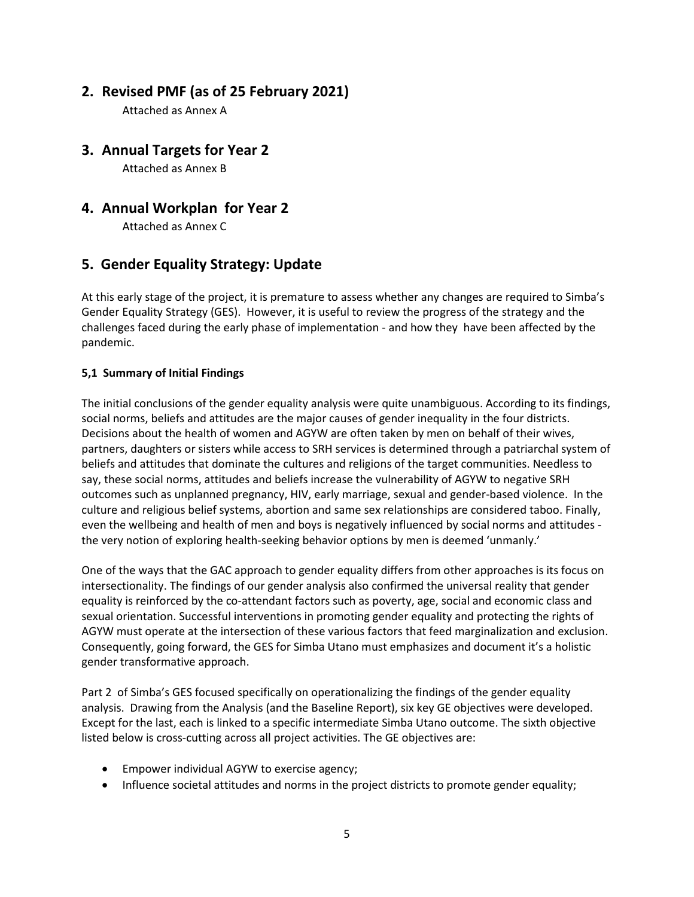## **2. Revised PMF (as of 25 February 2021)**

Attached as Annex A

**3. Annual Targets for Year 2** 

Attached as Annex B

## **4. Annual Workplan for Year 2**

Attached as Annex C

## **5. Gender Equality Strategy: Update**

At this early stage of the project, it is premature to assess whether any changes are required to Simba's Gender Equality Strategy (GES). However, it is useful to review the progress of the strategy and the challenges faced during the early phase of implementation - and how they have been affected by the pandemic.

#### **5,1 Summary of Initial Findings**

The initial conclusions of the gender equality analysis were quite unambiguous. According to its findings, social norms, beliefs and attitudes are the major causes of gender inequality in the four districts. Decisions about the health of women and AGYW are often taken by men on behalf of their wives, partners, daughters or sisters while access to SRH services is determined through a patriarchal system of beliefs and attitudes that dominate the cultures and religions of the target communities. Needless to say, these social norms, attitudes and beliefs increase the vulnerability of AGYW to negative SRH outcomes such as unplanned pregnancy, HIV, early marriage, sexual and gender-based violence. In the culture and religious belief systems, abortion and same sex relationships are considered taboo. Finally, even the wellbeing and health of men and boys is negatively influenced by social norms and attitudes the very notion of exploring health-seeking behavior options by men is deemed 'unmanly.'

One of the ways that the GAC approach to gender equality differs from other approaches is its focus on intersectionality. The findings of our gender analysis also confirmed the universal reality that gender equality is reinforced by the co-attendant factors such as poverty, age, social and economic class and sexual orientation. Successful interventions in promoting gender equality and protecting the rights of AGYW must operate at the intersection of these various factors that feed marginalization and exclusion. Consequently, going forward, the GES for Simba Utano must emphasizes and document it's a holistic gender transformative approach.

Part 2 of Simba's GES focused specifically on operationalizing the findings of the gender equality analysis. Drawing from the Analysis (and the Baseline Report), six key GE objectives were developed. Except for the last, each is linked to a specific intermediate Simba Utano outcome. The sixth objective listed below is cross-cutting across all project activities. The GE objectives are:

- Empower individual AGYW to exercise agency;
- Influence societal attitudes and norms in the project districts to promote gender equality;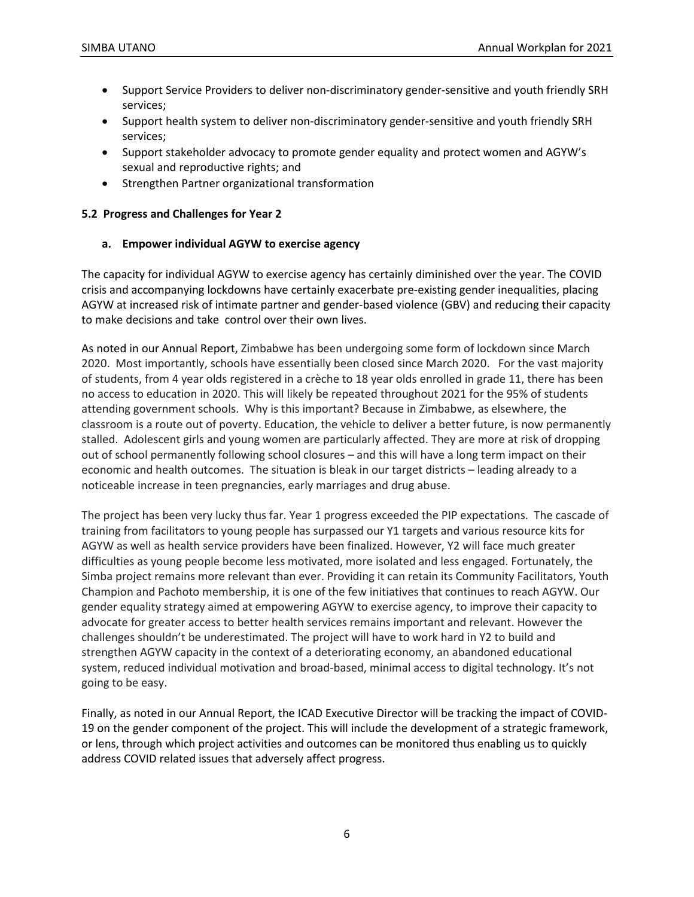- Support Service Providers to deliver non-discriminatory gender-sensitive and youth friendly SRH services;
- Support health system to deliver non-discriminatory gender-sensitive and youth friendly SRH services;
- Support stakeholder advocacy to promote gender equality and protect women and AGYW's sexual and reproductive rights; and
- Strengthen Partner organizational transformation

#### **5.2 Progress and Challenges for Year 2**

#### **a. Empower individual AGYW to exercise agency**

The capacity for individual AGYW to exercise agency has certainly diminished over the year. The COVID crisis and accompanying lockdowns have certainly exacerbate pre-existing gender inequalities, placing AGYW at increased risk of intimate partner and gender-based violence (GBV) and reducing their capacity to make decisions and take control over their own lives.

As noted in our Annual Report, Zimbabwe has been undergoing some form of lockdown since March 2020. Most importantly, schools have essentially been closed since March 2020. For the vast majority of students, from 4 year olds registered in a crèche to 18 year olds enrolled in grade 11, there has been no access to education in 2020. This will likely be repeated throughout 2021 for the 95% of students attending government schools. Why is this important? Because in Zimbabwe, as elsewhere, the classroom is a route out of poverty. Education, the vehicle to deliver a better future, is now permanently stalled. Adolescent girls and young women are particularly affected. They are more at risk of dropping out of school permanently following school closures – and this will have a long term impact on their economic and health outcomes. The situation is bleak in our target districts – leading already to a noticeable increase in teen pregnancies, early marriages and drug abuse.

The project has been very lucky thus far. Year 1 progress exceeded the PIP expectations. The cascade of training from facilitators to young people has surpassed our Y1 targets and various resource kits for AGYW as well as health service providers have been finalized. However, Y2 will face much greater difficulties as young people become less motivated, more isolated and less engaged. Fortunately, the Simba project remains more relevant than ever. Providing it can retain its Community Facilitators, Youth Champion and Pachoto membership, it is one of the few initiatives that continues to reach AGYW. Our gender equality strategy aimed at empowering AGYW to exercise agency, to improve their capacity to advocate for greater access to better health services remains important and relevant. However the challenges shouldn't be underestimated. The project will have to work hard in Y2 to build and strengthen AGYW capacity in the context of a deteriorating economy, an abandoned educational system, reduced individual motivation and broad-based, minimal access to digital technology. It's not going to be easy.

Finally, as noted in our Annual Report, the ICAD Executive Director will be tracking the impact of COVID-19 on the gender component of the project. This will include the development of a strategic framework, or lens, through which project activities and outcomes can be monitored thus enabling us to quickly address COVID related issues that adversely affect progress.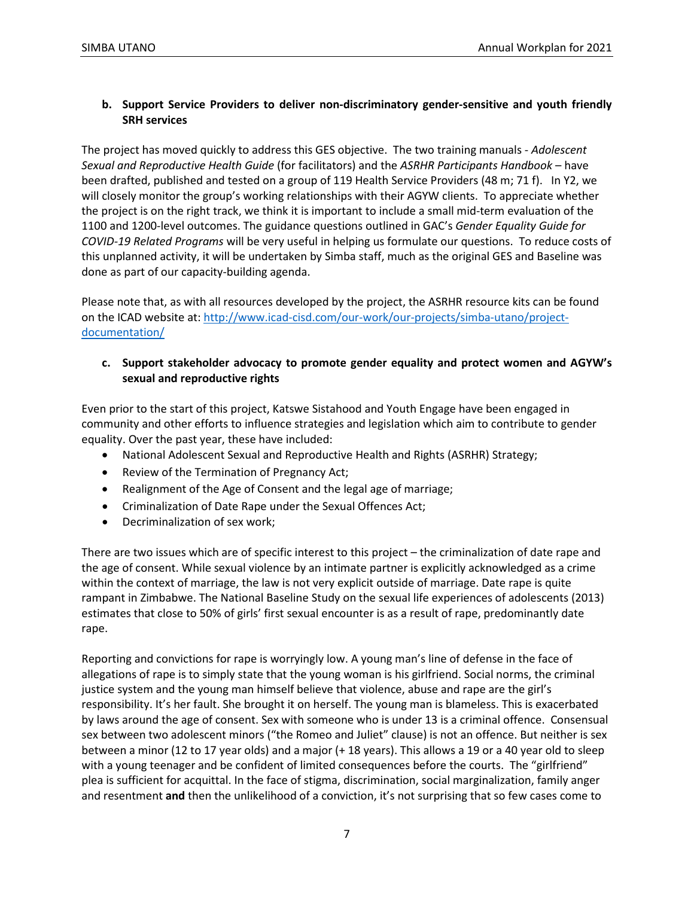#### **b. Support Service Providers to deliver non-discriminatory gender-sensitive and youth friendly SRH services**

The project has moved quickly to address this GES objective. The two training manuals - *Adolescent Sexual and Reproductive Health Guide* (for facilitators) and the *ASRHR Participants Handbook* – have been drafted, published and tested on a group of 119 Health Service Providers (48 m; 71 f). In Y2, we will closely monitor the group's working relationships with their AGYW clients. To appreciate whether the project is on the right track, we think it is important to include a small mid-term evaluation of the 1100 and 1200-level outcomes. The guidance questions outlined in GAC's *Gender Equality Guide for COVID-19 Related Programs* will be very useful in helping us formulate our questions. To reduce costs of this unplanned activity, it will be undertaken by Simba staff, much as the original GES and Baseline was done as part of our capacity-building agenda.

Please note that, as with all resources developed by the project, the ASRHR resource kits can be found on the ICAD website at[: http://www.icad-cisd.com/our-work/our-projects/simba-utano/project](http://www.icad-cisd.com/our-work/our-projects/simba-utano/project-documentation/)[documentation/](http://www.icad-cisd.com/our-work/our-projects/simba-utano/project-documentation/)

#### **c. Support stakeholder advocacy to promote gender equality and protect women and AGYW's sexual and reproductive rights**

Even prior to the start of this project, Katswe Sistahood and Youth Engage have been engaged in community and other efforts to influence strategies and legislation which aim to contribute to gender equality. Over the past year, these have included:

- National Adolescent Sexual and Reproductive Health and Rights (ASRHR) Strategy;
- Review of the Termination of Pregnancy Act;
- Realignment of the Age of Consent and the legal age of marriage;
- Criminalization of Date Rape under the Sexual Offences Act;
- Decriminalization of sex work;

There are two issues which are of specific interest to this project – the criminalization of date rape and the age of consent. While sexual violence by an intimate partner is explicitly acknowledged as a crime within the context of marriage, the law is not very explicit outside of marriage. Date rape is quite rampant in Zimbabwe. The National Baseline Study on the sexual life experiences of adolescents (2013) estimates that close to 50% of girls' first sexual encounter is as a result of rape, predominantly date rape.

Reporting and convictions for rape is worryingly low. A young man's line of defense in the face of allegations of rape is to simply state that the young woman is his girlfriend. Social norms, the criminal justice system and the young man himself believe that violence, abuse and rape are the girl's responsibility. It's her fault. She brought it on herself. The young man is blameless. This is exacerbated by laws around the age of consent. Sex with someone who is under 13 is a criminal offence. Consensual sex between two adolescent minors ("the Romeo and Juliet" clause) is not an offence. But neither is sex between a minor (12 to 17 year olds) and a major (+ 18 years). This allows a 19 or a 40 year old to sleep with a young teenager and be confident of limited consequences before the courts. The "girlfriend" plea is sufficient for acquittal. In the face of stigma, discrimination, social marginalization, family anger and resentment **and** then the unlikelihood of a conviction, it's not surprising that so few cases come to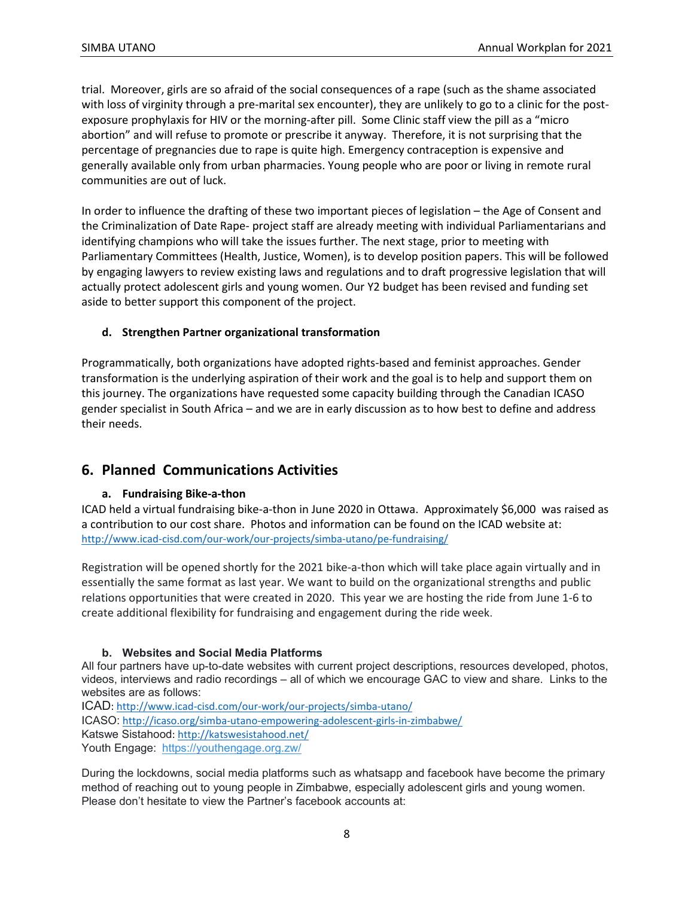trial. Moreover, girls are so afraid of the social consequences of a rape (such as the shame associated with loss of virginity through a pre-marital sex encounter), they are unlikely to go to a clinic for the postexposure prophylaxis for HIV or the morning-after pill. Some Clinic staff view the pill as a "micro abortion" and will refuse to promote or prescribe it anyway. Therefore, it is not surprising that the percentage of pregnancies due to rape is quite high. Emergency contraception is expensive and generally available only from urban pharmacies. Young people who are poor or living in remote rural communities are out of luck.

In order to influence the drafting of these two important pieces of legislation – the Age of Consent and the Criminalization of Date Rape- project staff are already meeting with individual Parliamentarians and identifying champions who will take the issues further. The next stage, prior to meeting with Parliamentary Committees (Health, Justice, Women), is to develop position papers. This will be followed by engaging lawyers to review existing laws and regulations and to draft progressive legislation that will actually protect adolescent girls and young women. Our Y2 budget has been revised and funding set aside to better support this component of the project.

#### **d. Strengthen Partner organizational transformation**

Programmatically, both organizations have adopted rights-based and feminist approaches. Gender transformation is the underlying aspiration of their work and the goal is to help and support them on this journey. The organizations have requested some capacity building through the Canadian ICASO gender specialist in South Africa – and we are in early discussion as to how best to define and address their needs.

### **6. Planned Communications Activities**

#### **a. Fundraising Bike-a-thon**

ICAD held a virtual fundraising bike-a-thon in June 2020 in Ottawa. Approximately \$6,000 was raised as a contribution to our cost share. Photos and information can be found on the ICAD website at: <http://www.icad-cisd.com/our-work/our-projects/simba-utano/pe-fundraising/>

Registration will be opened shortly for the 2021 bike-a-thon which will take place again virtually and in essentially the same format as last year. We want to build on the organizational strengths and public relations opportunities that were created in 2020. This year we are hosting the ride from June 1-6 to create additional flexibility for fundraising and engagement during the ride week.

#### **b. Websites and Social Media Platforms**

All four partners have up-to-date websites with current project descriptions, resources developed, photos, videos, interviews and radio recordings – all of which we encourage GAC to view and share. Links to the websites are as follows:

ICAD:<http://www.icad-cisd.com/our-work/our-projects/simba-utano/>

ICASO: <http://icaso.org/simba-utano-empowering-adolescent-girls-in-zimbabwe/>

Katswe Sistahood:<http://katswesistahood.net/>

Youth Engage: <https://youthengage.org.zw/>

During the lockdowns, social media platforms such as whatsapp and facebook have become the primary method of reaching out to young people in Zimbabwe, especially adolescent girls and young women. Please don't hesitate to view the Partner's facebook accounts at: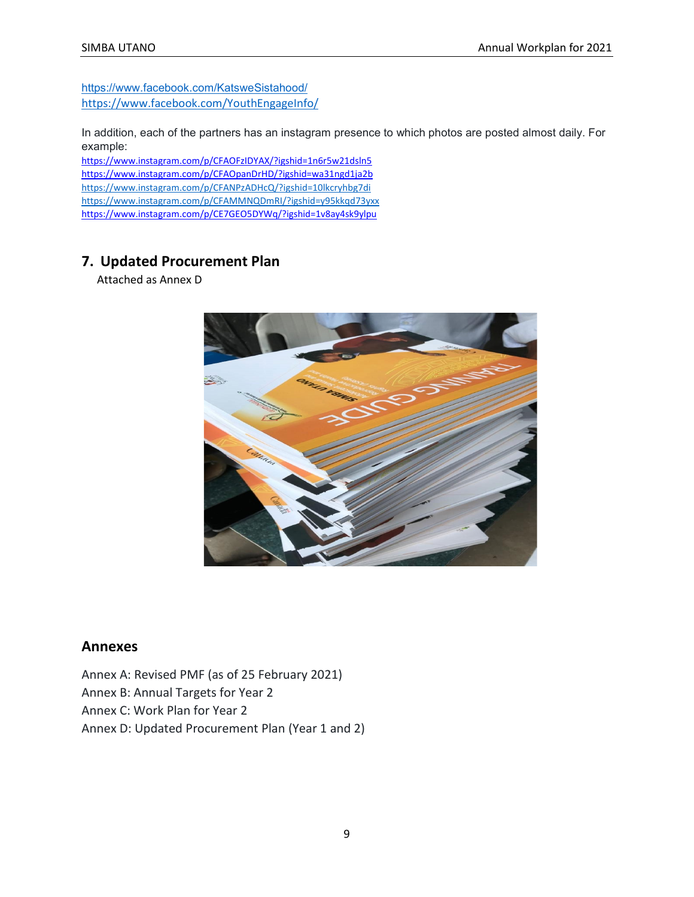<https://www.facebook.com/KatsweSistahood/> https://www.facebook.com/YouthEngageInfo/

In addition, each of the partners has an instagram presence to which photos are posted almost daily. For example:

<https://www.instagram.com/p/CFAOFzIDYAX/?igshid=1n6r5w21dsln5> <https://www.instagram.com/p/CFAOpanDrHD/?igshid=wa31ngd1ja2b> <https://www.instagram.com/p/CFANPzADHcQ/?igshid=10lkcryhbg7di> <https://www.instagram.com/p/CFAMMNQDmRI/?igshid=y95kkqd73yxx> <https://www.instagram.com/p/CE7GEO5DYWq/?igshid=1v8ay4sk9ylpu>

## **7. Updated Procurement Plan**

Attached as Annex D



#### **Annexes**

Annex A: Revised PMF (as of 25 February 2021) Annex B: Annual Targets for Year 2 Annex C: Work Plan for Year 2 Annex D: Updated Procurement Plan (Year 1 and 2)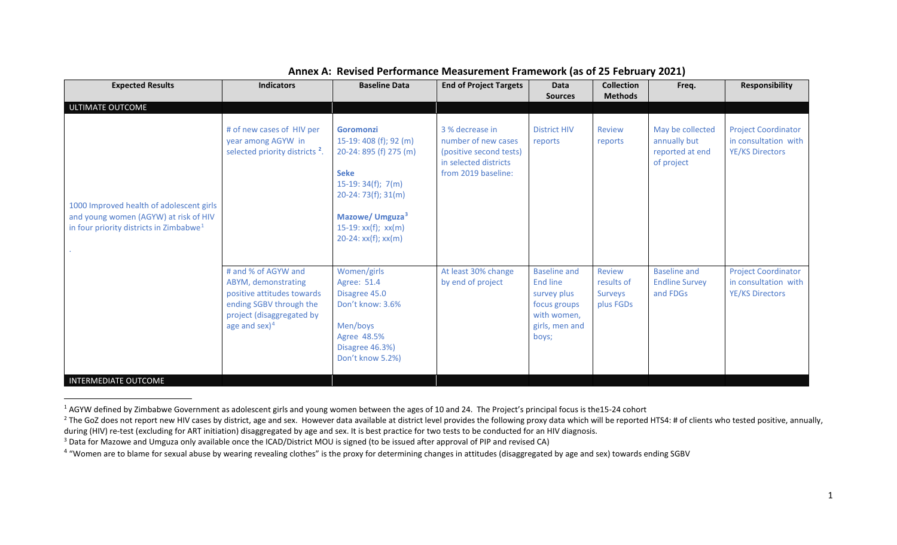| <b>Expected Results</b>                                                                                                                  | <b>Indicators</b>                                                                                                                                    | <b>Baseline Data</b>                                                                                                                                                                                                 | <b>End of Project Targets</b>                                                                                     | Data<br><b>Sources</b>                                                                                   | <b>Collection</b><br><b>Methods</b>          | Freq.                                                             | Responsibility                                                               |
|------------------------------------------------------------------------------------------------------------------------------------------|------------------------------------------------------------------------------------------------------------------------------------------------------|----------------------------------------------------------------------------------------------------------------------------------------------------------------------------------------------------------------------|-------------------------------------------------------------------------------------------------------------------|----------------------------------------------------------------------------------------------------------|----------------------------------------------|-------------------------------------------------------------------|------------------------------------------------------------------------------|
| ULTIMATE OUTCOME                                                                                                                         |                                                                                                                                                      |                                                                                                                                                                                                                      |                                                                                                                   |                                                                                                          |                                              |                                                                   |                                                                              |
| 1000 Improved health of adolescent girls<br>and young women (AGYW) at risk of HIV<br>in four priority districts in Zimbabwe <sup>1</sup> | # of new cases of HIV per<br>year among AGYW in<br>selected priority districts <sup>2</sup> .                                                        | <b>Goromonzi</b><br>$15-19:408$ (f); 92 (m)<br>20-24: 895 (f) 275 (m)<br><b>Seke</b><br>$15-19:34(f); 7(m)$<br>$20-24:73(f); 31(m)$<br>Mazowe/ Umguza <sup>3</sup><br>$15-19: xx(f); xx(m)$<br>$20-24: xx(f); xx(m)$ | 3 % decrease in<br>number of new cases<br>(positive second tests)<br>in selected districts<br>from 2019 baseline: | <b>District HIV</b><br>reports                                                                           | Review<br>reports                            | May be collected<br>annually but<br>reported at end<br>of project | <b>Project Coordinator</b><br>in consultation with<br>YE/KS Directors        |
| <b>INTERMEDIATE OUTCOME</b>                                                                                                              | # and % of AGYW and<br>ABYM, demonstrating<br>positive attitudes towards<br>ending SGBV through the<br>project (disaggregated by<br>age and $sex)^4$ | Women/girls<br>Agree: 51.4<br>Disagree 45.0<br>Don't know: 3.6%<br>Men/boys<br>Agree 48.5%<br>Disagree 46.3%)<br>Don't know 5.2%)                                                                                    | At least 30% change<br>by end of project                                                                          | <b>Baseline and</b><br>End line<br>survey plus<br>focus groups<br>with women,<br>girls, men and<br>boys; | Review<br>results of<br>Surveys<br>plus FGDs | <b>Baseline and</b><br><b>Endline Survey</b><br>and FDGs          | <b>Project Coordinator</b><br>in consultation with<br><b>YE/KS Directors</b> |

#### <span id="page-9-3"></span><span id="page-9-2"></span><span id="page-9-1"></span><span id="page-9-0"></span>**Annex A: Revised Performance Measurement Framework (as of 25 February 2021)**

<sup>&</sup>lt;sup>1</sup> AGYW defined by Zimbabwe Government as adolescent girls and young women between the ages of 10 and 24. The Project's principal focus is the15-24 cohort

<sup>&</sup>lt;sup>2</sup> The GoZ does not report new HIV cases by district, age and sex. However data available at district level provides the following proxy data which will be reported HTS4: # of clients who tested positive, annually, during (HIV) re-test (excluding for ART initiation) disaggregated by age and sex. It is best practice for two tests to be conducted for an HIV diagnosis.<br><sup>3</sup> Data for Mazowe and Umguza only available once the ICAD/District

<sup>&</sup>lt;sup>4</sup> "Women are to blame for sexual abuse by wearing revealing clothes" is the proxy for determining changes in attitudes (disaggregated by age and sex) towards ending SGBV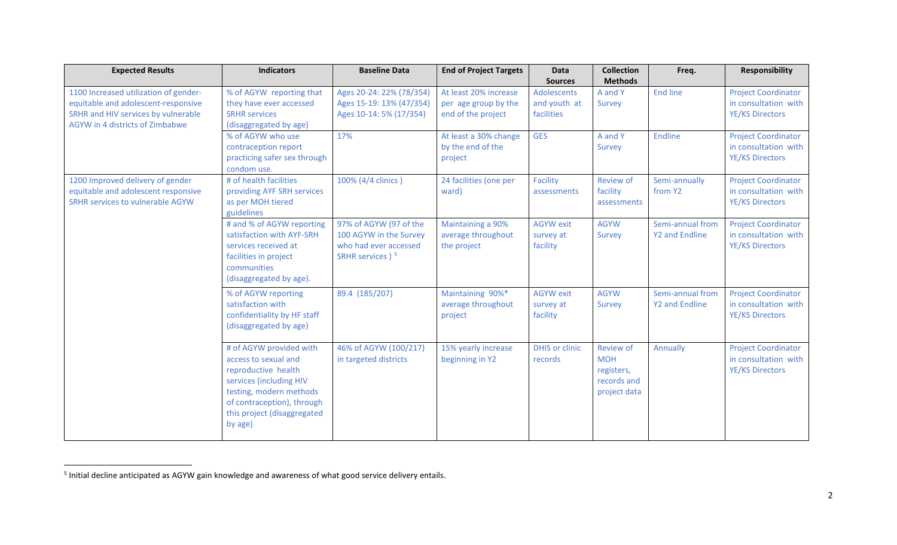<span id="page-10-0"></span>

| <b>Expected Results</b>                                                                                                                                | <b>Indicators</b>                                                                                                                                                                                    | <b>Baseline Data</b>                                                                                      | <b>End of Project Targets</b>                                       | Data<br><b>Sources</b>                    | <b>Collection</b><br><b>Methods</b>                                         | Freq.                              | <b>Responsibility</b>                                                        |
|--------------------------------------------------------------------------------------------------------------------------------------------------------|------------------------------------------------------------------------------------------------------------------------------------------------------------------------------------------------------|-----------------------------------------------------------------------------------------------------------|---------------------------------------------------------------------|-------------------------------------------|-----------------------------------------------------------------------------|------------------------------------|------------------------------------------------------------------------------|
| 1100 Increased utilization of gender-<br>equitable and adolescent-responsive<br>SRHR and HIV services by vulnerable<br>AGYW in 4 districts of Zimbabwe | % of AGYW reporting that<br>they have ever accessed<br><b>SRHR services</b><br>(disaggregated by age)                                                                                                | Ages 20-24: 22% (78/354)<br>Ages 15-19: 13% (47/354)<br>Ages 10-14: 5% (17/354)                           | At least 20% increase<br>per age group by the<br>end of the project | Adolescents<br>and youth at<br>facilities | A and Y<br>Survey                                                           | <b>End line</b>                    | <b>Project Coordinator</b><br>in consultation with<br><b>YE/KS Directors</b> |
|                                                                                                                                                        | % of AGYW who use<br>contraception report<br>practicing safer sex through<br>condom use.                                                                                                             | 17%                                                                                                       | At least a 30% change<br>by the end of the<br>project               | <b>GES</b>                                | A and Y<br>Survey                                                           | <b>Endline</b>                     | <b>Project Coordinator</b><br>in consultation with<br><b>YE/KS Directors</b> |
| 1200 Improved delivery of gender<br>equitable and adolescent responsive<br><b>SRHR services to vulnerable AGYW</b>                                     | # of health facilities<br>providing AYF SRH services<br>as per MOH tiered<br>guidelines                                                                                                              | 100% (4/4 clinics)                                                                                        | 24 facilities (one per<br>ward)                                     | Facility<br>assessments                   | <b>Review of</b><br>facility<br>assessments                                 | Semi-annually<br>from Y2           | <b>Project Coordinator</b><br>in consultation with<br><b>YE/KS Directors</b> |
|                                                                                                                                                        | # and % of AGYW reporting<br>satisfaction with AYF-SRH<br>services received at<br>facilities in project<br>communities<br>(disaggregated by age).                                                    | 97% of AGYW (97 of the<br>100 AGYW in the Survey<br>who had ever accessed<br>SRHR services ) <sup>5</sup> | Maintaining a 90%<br>average throughout<br>the project              | <b>AGYW</b> exit<br>survey at<br>facility | <b>AGYW</b><br>Survey                                                       | Semi-annual from<br>Y2 and Endline | <b>Project Coordinator</b><br>in consultation with<br><b>YE/KS Directors</b> |
|                                                                                                                                                        | % of AGYW reporting<br>satisfaction with<br>confidentiality by HF staff<br>(disaggregated by age)                                                                                                    | 89.4 (185/207)                                                                                            | Maintaining 90%*<br>average throughout<br>project                   | <b>AGYW</b> exit<br>survey at<br>facility | <b>AGYW</b><br>Survey                                                       | Semi-annual from<br>Y2 and Endline | <b>Project Coordinator</b><br>in consultation with<br><b>YE/KS Directors</b> |
|                                                                                                                                                        | # of AGYW provided with<br>access to sexual and<br>reproductive health<br>services (including HIV<br>testing, modern methods<br>of contraception), through<br>this project (disaggregated<br>by age) | 46% of AGYW (100/217)<br>in targeted districts                                                            | 15% yearly increase<br>beginning in Y2                              | <b>DHIS or clinic</b><br>records          | <b>Review of</b><br><b>MOH</b><br>registers,<br>records and<br>project data | Annually                           | <b>Project Coordinator</b><br>in consultation with<br><b>YE/KS Directors</b> |

 <sup>5</sup> Initial decline anticipated as AGYW gain knowledge and awareness of what good service delivery entails.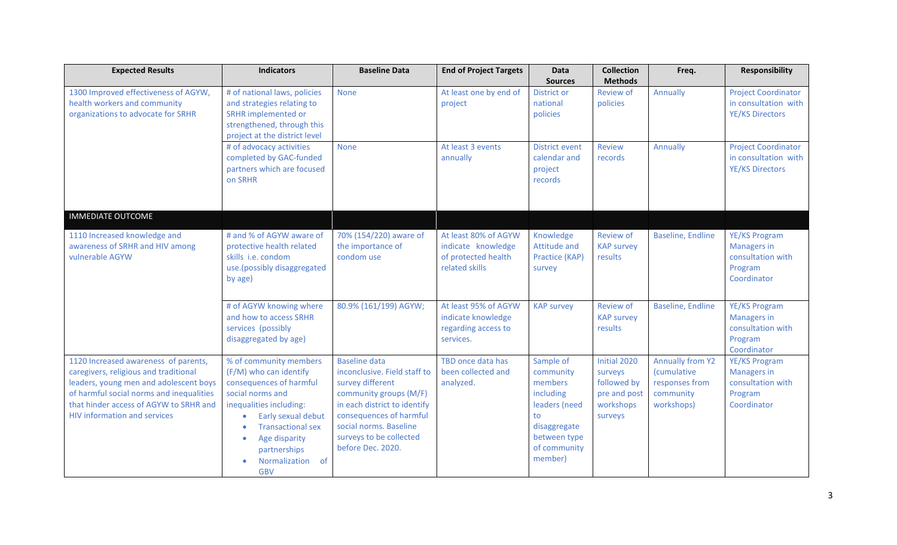| <b>Expected Results</b>                                                                                                                                                                                                                              | <b>Indicators</b>                                                                                                                                                                                                                                               | <b>Baseline Data</b>                                                                                                                                                                                                                    | <b>End of Project Targets</b>                                                       | <b>Data</b>                                                                                                                      | <b>Collection</b><br><b>Methods</b>                                            | Freq.                                                                                      | Responsibility                                                                     |
|------------------------------------------------------------------------------------------------------------------------------------------------------------------------------------------------------------------------------------------------------|-----------------------------------------------------------------------------------------------------------------------------------------------------------------------------------------------------------------------------------------------------------------|-----------------------------------------------------------------------------------------------------------------------------------------------------------------------------------------------------------------------------------------|-------------------------------------------------------------------------------------|----------------------------------------------------------------------------------------------------------------------------------|--------------------------------------------------------------------------------|--------------------------------------------------------------------------------------------|------------------------------------------------------------------------------------|
| 1300 Improved effectiveness of AGYW,<br>health workers and community<br>organizations to advocate for SRHR                                                                                                                                           | # of national laws, policies<br>and strategies relating to<br>SRHR implemented or<br>strengthened, through this<br>project at the district level                                                                                                                | <b>None</b>                                                                                                                                                                                                                             | At least one by end of<br>project                                                   | <b>Sources</b><br><b>District or</b><br>national<br>policies                                                                     | <b>Review of</b><br>policies                                                   | Annually                                                                                   | <b>Project Coordinator</b><br>in consultation with<br><b>YE/KS Directors</b>       |
|                                                                                                                                                                                                                                                      | # of advocacy activities<br>completed by GAC-funded<br>partners which are focused<br>on SRHR                                                                                                                                                                    | <b>None</b>                                                                                                                                                                                                                             | At least 3 events<br>annually                                                       | <b>District event</b><br>calendar and<br>project<br>records                                                                      | <b>Review</b><br>records                                                       | Annually                                                                                   | <b>Project Coordinator</b><br>in consultation with<br><b>YE/KS Directors</b>       |
| <b>IMMEDIATE OUTCOME</b>                                                                                                                                                                                                                             |                                                                                                                                                                                                                                                                 |                                                                                                                                                                                                                                         |                                                                                     |                                                                                                                                  |                                                                                |                                                                                            |                                                                                    |
| 1110 Increased knowledge and<br>awareness of SRHR and HIV among<br>vulnerable AGYW                                                                                                                                                                   | # and % of AGYW aware of<br>protective health related<br>skills i.e. condom<br>use.(possibly disaggregated<br>by age)                                                                                                                                           | 70% (154/220) aware of<br>the importance of<br>condom use                                                                                                                                                                               | At least 80% of AGYW<br>indicate knowledge<br>of protected health<br>related skills | Knowledge<br><b>Attitude and</b><br>Practice (KAP)<br>survey                                                                     | <b>Review of</b><br><b>KAP survey</b><br>results                               | <b>Baseline, Endline</b>                                                                   | YE/KS Program<br><b>Managers in</b><br>consultation with<br>Program<br>Coordinator |
|                                                                                                                                                                                                                                                      | # of AGYW knowing where<br>and how to access SRHR<br>services (possibly<br>disaggregated by age)                                                                                                                                                                | 80.9% (161/199) AGYW;                                                                                                                                                                                                                   | At least 95% of AGYW<br>indicate knowledge<br>regarding access to<br>services.      | <b>KAP survey</b>                                                                                                                | <b>Review of</b><br><b>KAP survey</b><br>results                               | <b>Baseline, Endline</b>                                                                   | YE/KS Program<br><b>Managers in</b><br>consultation with<br>Program<br>Coordinator |
| 1120 Increased awareness of parents,<br>caregivers, religious and traditional<br>leaders, young men and adolescent boys<br>of harmful social norms and inequalities<br>that hinder access of AGYW to SRHR and<br><b>HIV information and services</b> | % of community members<br>(F/M) who can identify<br>consequences of harmful<br>social norms and<br>inequalities including:<br>Early sexual debut<br><b>Transactional sex</b><br>Age disparity<br>$\bullet$<br>partnerships<br>Normalization<br>of<br><b>GBV</b> | <b>Baseline data</b><br>inconclusive. Field staff to<br>survey different<br>community groups (M/F)<br>in each district to identify<br>consequences of harmful<br>social norms. Baseline<br>surveys to be collected<br>before Dec. 2020. | TBD once data has<br>been collected and<br>analyzed.                                | Sample of<br>community<br>members<br>including<br>leaders (need<br>to<br>disaggregate<br>between type<br>of community<br>member) | Initial 2020<br>surveys<br>followed by<br>pre and post<br>workshops<br>surveys | <b>Annually from Y2</b><br><i>(cumulative</i><br>responses from<br>community<br>workshops) | YE/KS Program<br><b>Managers in</b><br>consultation with<br>Program<br>Coordinator |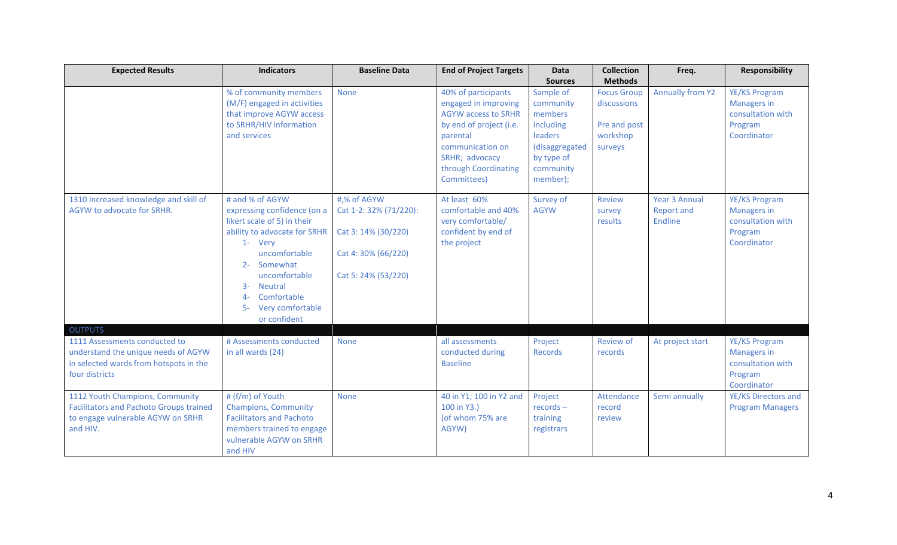| <b>Expected Results</b>                                                                                                                            | <b>Indicators</b>                                                                                                                                                                                                                                                            | <b>Baseline Data</b>                                                                                       | <b>End of Project Targets</b>                                                                                                                                                                 | Data                                                                                                                                 | <b>Collection</b>                                                                          | Freq.                                                       | <b>Responsibility</b>                                                              |
|----------------------------------------------------------------------------------------------------------------------------------------------------|------------------------------------------------------------------------------------------------------------------------------------------------------------------------------------------------------------------------------------------------------------------------------|------------------------------------------------------------------------------------------------------------|-----------------------------------------------------------------------------------------------------------------------------------------------------------------------------------------------|--------------------------------------------------------------------------------------------------------------------------------------|--------------------------------------------------------------------------------------------|-------------------------------------------------------------|------------------------------------------------------------------------------------|
|                                                                                                                                                    | % of community members<br>(M/F) engaged in activities<br>that improve AGYW access<br>to SRHR/HIV information<br>and services                                                                                                                                                 | <b>None</b>                                                                                                | 40% of participants<br>engaged in improving<br><b>AGYW</b> access to SRHR<br>by end of project (i.e.<br>parental<br>communication on<br>SRHR; advocacy<br>through Coordinating<br>Committees) | <b>Sources</b><br>Sample of<br>community<br>members<br>including<br>leaders<br>(disaggregated<br>by type of<br>community<br>member); | <b>Methods</b><br><b>Focus Group</b><br>discussions<br>Pre and post<br>workshop<br>surveys | <b>Annually from Y2</b>                                     | YE/KS Program<br><b>Managers in</b><br>consultation with<br>Program<br>Coordinator |
| 1310 Increased knowledge and skill of<br>AGYW to advocate for SRHR.                                                                                | # and % of AGYW<br>expressing confidence (on a<br>likert scale of 5) in their<br>ability to advocate for SRHR<br>1- Very<br>uncomfortable<br>Somewhat<br>$2 -$<br>uncomfortable<br><b>Neutral</b><br>$3-$<br>Comfortable<br>$4-$<br>Very comfortable<br>$5-$<br>or confident | #,% of AGYW<br>Cat 1-2: 32% (71/220):<br>Cat 3: 14% (30/220)<br>Cat 4: 30% (66/220)<br>Cat 5: 24% (53/220) | At least 60%<br>comfortable and 40%<br>very comfortable/<br>confident by end of<br>the project                                                                                                | Survey of<br><b>AGYW</b>                                                                                                             | Review<br>survey<br>results                                                                | <b>Year 3 Annual</b><br><b>Report and</b><br><b>Endline</b> | YE/KS Program<br><b>Managers in</b><br>consultation with<br>Program<br>Coordinator |
| <b>OUTPUTS</b><br>1111 Assessments conducted to<br>understand the unique needs of AGYW<br>in selected wards from hotspots in the<br>four districts | # Assessments conducted<br>in all wards (24)                                                                                                                                                                                                                                 | <b>None</b>                                                                                                | all assessments<br>conducted during<br><b>Baseline</b>                                                                                                                                        | Project<br>Records                                                                                                                   | <b>Review of</b><br>records                                                                | At project start                                            | YE/KS Program<br><b>Managers in</b><br>consultation with<br>Program<br>Coordinator |
| 1112 Youth Champions, Community<br><b>Facilitators and Pachoto Groups trained</b><br>to engage vulnerable AGYW on SRHR<br>and HIV.                 | # (f/m) of Youth<br><b>Champions, Community</b><br><b>Facilitators and Pachoto</b><br>members trained to engage<br>vulnerable AGYW on SRHR<br>and HIV                                                                                                                        | <b>None</b>                                                                                                | 40 in Y1; 100 in Y2 and<br>100 in Y3.)<br>(of whom 75% are<br>AGYW)                                                                                                                           | Project<br>$records -$<br>training<br>registrars                                                                                     | Attendance<br>record<br>review                                                             | Semi annually                                               | YE/KS Directors and<br><b>Program Managers</b>                                     |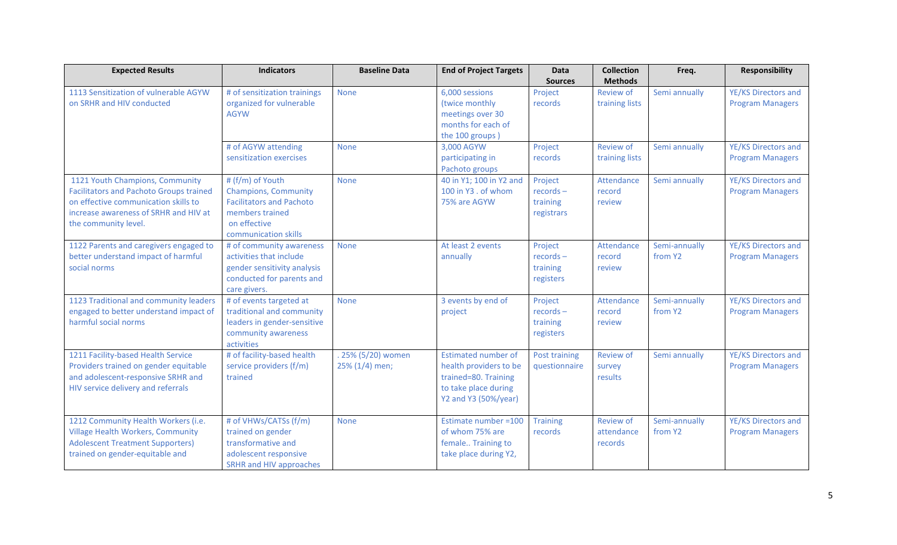| <b>Expected Results</b>                        | <b>Indicators</b>                 | <b>Baseline Data</b> | <b>End of Project Targets</b>      | <b>Data</b>     | <b>Collection</b> | Freq.         | <b>Responsibility</b>   |
|------------------------------------------------|-----------------------------------|----------------------|------------------------------------|-----------------|-------------------|---------------|-------------------------|
|                                                |                                   |                      |                                    | <b>Sources</b>  | <b>Methods</b>    |               |                         |
| 1113 Sensitization of vulnerable AGYW          | # of sensitization trainings      | <b>None</b>          | 6,000 sessions                     | Project         | Review of         | Semi annually | YE/KS Directors and     |
| on SRHR and HIV conducted                      | organized for vulnerable          |                      | (twice monthly                     | records         | training lists    |               | <b>Program Managers</b> |
|                                                | <b>AGYW</b>                       |                      | meetings over 30                   |                 |                   |               |                         |
|                                                |                                   |                      | months for each of                 |                 |                   |               |                         |
|                                                |                                   |                      | the 100 groups)                    |                 |                   |               |                         |
|                                                | # of AGYW attending               | <b>None</b>          | 3,000 AGYW                         | Project         | <b>Review of</b>  | Semi annually | YE/KS Directors and     |
|                                                | sensitization exercises           |                      | participating in<br>Pachoto groups | records         | training lists    |               | <b>Program Managers</b> |
| 1121 Youth Champions, Community                | # (f/m) of Youth                  | <b>None</b>          | 40 in Y1; 100 in Y2 and            | Project         | Attendance        | Semi annually | YE/KS Directors and     |
| <b>Facilitators and Pachoto Groups trained</b> | <b>Champions, Community</b>       |                      | 100 in Y3 . of whom                | $records -$     | record            |               | <b>Program Managers</b> |
| on effective communication skills to           | <b>Facilitators and Pachoto</b>   |                      | 75% are AGYW                       | training        | review            |               |                         |
| increase awareness of SRHR and HIV at          | members trained                   |                      |                                    | registrars      |                   |               |                         |
| the community level.                           | on effective                      |                      |                                    |                 |                   |               |                         |
|                                                | communication skills              |                      |                                    |                 |                   |               |                         |
| 1122 Parents and caregivers engaged to         | # of community awareness          | <b>None</b>          | At least 2 events                  | Project         | Attendance        | Semi-annually | YE/KS Directors and     |
| better understand impact of harmful            | activities that include           |                      | annually                           | $records -$     | record            | from Y2       | <b>Program Managers</b> |
| social norms                                   | gender sensitivity analysis       |                      |                                    | training        | review            |               |                         |
|                                                | conducted for parents and         |                      |                                    | registers       |                   |               |                         |
|                                                | care givers.                      |                      |                                    |                 |                   |               |                         |
| 1123 Traditional and community leaders         | # of events targeted at           | <b>None</b>          | 3 events by end of                 | Project         | Attendance        | Semi-annually | YE/KS Directors and     |
| engaged to better understand impact of         | traditional and community         |                      | project                            | $records -$     | record            | from Y2       | <b>Program Managers</b> |
| harmful social norms                           | leaders in gender-sensitive       |                      |                                    | training        | review            |               |                         |
|                                                | community awareness<br>activities |                      |                                    | registers       |                   |               |                         |
| 1211 Facility-based Health Service             | # of facility-based health        | . 25% (5/20) women   | <b>Estimated number of</b>         | Post training   | <b>Review of</b>  | Semi annually | YE/KS Directors and     |
| Providers trained on gender equitable          | service providers (f/m)           | 25% (1/4) men;       | health providers to be             | questionnaire   | survey            |               | <b>Program Managers</b> |
| and adolescent-responsive SRHR and             | trained                           |                      | trained=80. Training               |                 | results           |               |                         |
| HIV service delivery and referrals             |                                   |                      | to take place during               |                 |                   |               |                         |
|                                                |                                   |                      | Y2 and Y3 (50%/year)               |                 |                   |               |                         |
|                                                |                                   |                      |                                    |                 |                   |               |                         |
| 1212 Community Health Workers (i.e.            | # of VHWs/CATSs (f/m)             | <b>None</b>          | Estimate number = 100              | <b>Training</b> | <b>Review of</b>  | Semi-annually | YE/KS Directors and     |
| <b>Village Health Workers, Community</b>       | trained on gender                 |                      | of whom 75% are                    | records         | attendance        | from Y2       | <b>Program Managers</b> |
| <b>Adolescent Treatment Supporters)</b>        | transformative and                |                      | female Training to                 |                 | records           |               |                         |
| trained on gender-equitable and                | adolescent responsive             |                      | take place during Y2,              |                 |                   |               |                         |
|                                                | SRHR and HIV approaches           |                      |                                    |                 |                   |               |                         |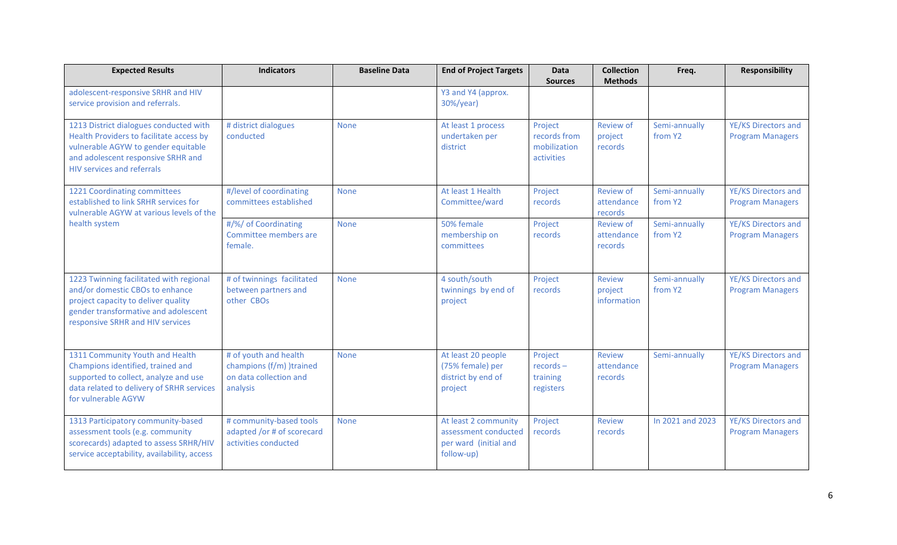| <b>Expected Results</b>                                                                                                                                                                              | <b>Indicators</b>                                                                       | <b>Baseline Data</b> | <b>End of Project Targets</b>                                                       | <b>Data</b><br><b>Sources</b>                         | <b>Collection</b><br><b>Methods</b>       | Freq.                    | <b>Responsibility</b>                          |
|------------------------------------------------------------------------------------------------------------------------------------------------------------------------------------------------------|-----------------------------------------------------------------------------------------|----------------------|-------------------------------------------------------------------------------------|-------------------------------------------------------|-------------------------------------------|--------------------------|------------------------------------------------|
| adolescent-responsive SRHR and HIV<br>service provision and referrals.                                                                                                                               |                                                                                         |                      | Y3 and Y4 (approx.<br>30%/year)                                                     |                                                       |                                           |                          |                                                |
| 1213 District dialogues conducted with<br>Health Providers to facilitate access by<br>vulnerable AGYW to gender equitable<br>and adolescent responsive SRHR and<br><b>HIV services and referrals</b> | # district dialogues<br>conducted                                                       | <b>None</b>          | At least 1 process<br>undertaken per<br>district                                    | Project<br>records from<br>mobilization<br>activities | <b>Review of</b><br>project<br>records    | Semi-annually<br>from Y2 | YE/KS Directors and<br><b>Program Managers</b> |
| 1221 Coordinating committees<br>established to link SRHR services for<br>vulnerable AGYW at various levels of the                                                                                    | #/level of coordinating<br>committees established                                       | <b>None</b>          | At least 1 Health<br>Committee/ward                                                 | Project<br>records                                    | <b>Review of</b><br>attendance<br>records | Semi-annually<br>from Y2 | YE/KS Directors and<br><b>Program Managers</b> |
| health system                                                                                                                                                                                        | #/%/ of Coordinating<br>Committee members are<br>female.                                | <b>None</b>          | 50% female<br>membership on<br>committees                                           | Project<br>records                                    | <b>Review of</b><br>attendance<br>records | Semi-annually<br>from Y2 | YE/KS Directors and<br><b>Program Managers</b> |
| 1223 Twinning facilitated with regional<br>and/or domestic CBOs to enhance<br>project capacity to deliver quality<br>gender transformative and adolescent<br>responsive SRHR and HIV services        | # of twinnings facilitated<br>between partners and<br>other CBOs                        | <b>None</b>          | 4 south/south<br>twinnings by end of<br>project                                     | Project<br>records                                    | Review<br>project<br>information          | Semi-annually<br>from Y2 | YE/KS Directors and<br><b>Program Managers</b> |
| 1311 Community Youth and Health<br>Champions identified, trained and<br>supported to collect, analyze and use<br>data related to delivery of SRHR services<br>for vulnerable AGYW                    | # of youth and health<br>champions (f/m) )trained<br>on data collection and<br>analysis | <b>None</b>          | At least 20 people<br>(75% female) per<br>district by end of<br>project             | Project<br>$records -$<br>training<br>registers       | Review<br>attendance<br>records           | Semi-annually            | YE/KS Directors and<br><b>Program Managers</b> |
| 1313 Participatory community-based<br>assessment tools (e.g. community<br>scorecards) adapted to assess SRHR/HIV<br>service acceptability, availability, access                                      | # community-based tools<br>adapted /or # of scorecard<br>activities conducted           | <b>None</b>          | At least 2 community<br>assessment conducted<br>per ward (initial and<br>follow-up) | Project<br>records                                    | Review<br>records                         | In 2021 and 2023         | YE/KS Directors and<br><b>Program Managers</b> |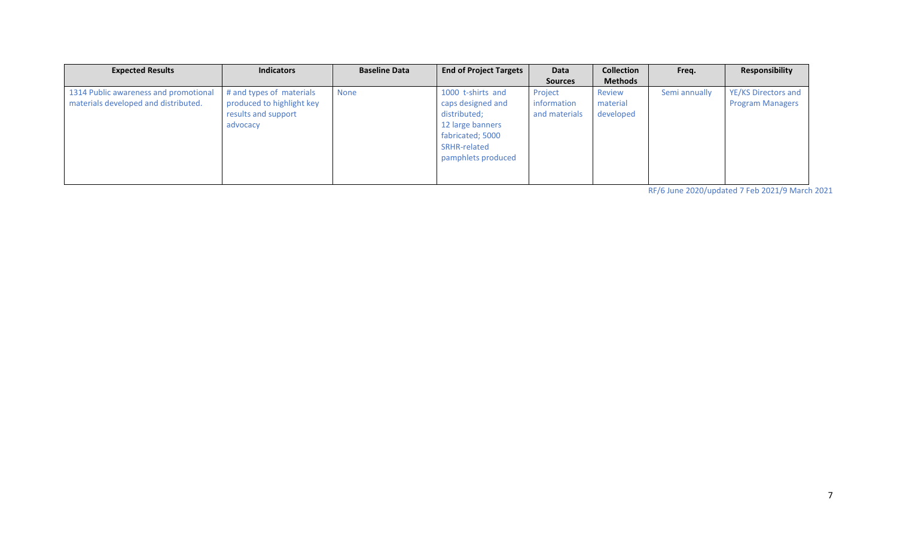| <b>Expected Results</b>               | <b>Indicators</b>         | <b>Baseline Data</b> | <b>End of Project Targets</b> | Data           | <b>Collection</b> | Freq.         | Responsibility          |
|---------------------------------------|---------------------------|----------------------|-------------------------------|----------------|-------------------|---------------|-------------------------|
|                                       |                           |                      |                               | <b>Sources</b> | <b>Methods</b>    |               |                         |
| 1314 Public awareness and promotional | # and types of materials  | None                 | 1000 t-shirts and             | Project        | Review            | Semi annually | YE/KS Directors and     |
| materials developed and distributed.  | produced to highlight key |                      | caps designed and             | information    | material          |               | <b>Program Managers</b> |
|                                       | results and support       |                      | distributed;                  | and materials  | developed         |               |                         |
|                                       | advocacy                  |                      | 12 large banners              |                |                   |               |                         |
|                                       |                           |                      | fabricated; 5000              |                |                   |               |                         |
|                                       |                           |                      | SRHR-related                  |                |                   |               |                         |
|                                       |                           |                      | pamphlets produced            |                |                   |               |                         |
|                                       |                           |                      |                               |                |                   |               |                         |
|                                       |                           |                      |                               |                |                   |               |                         |

RF/6 June 2020/updated 7 Feb 2021/9 March 2021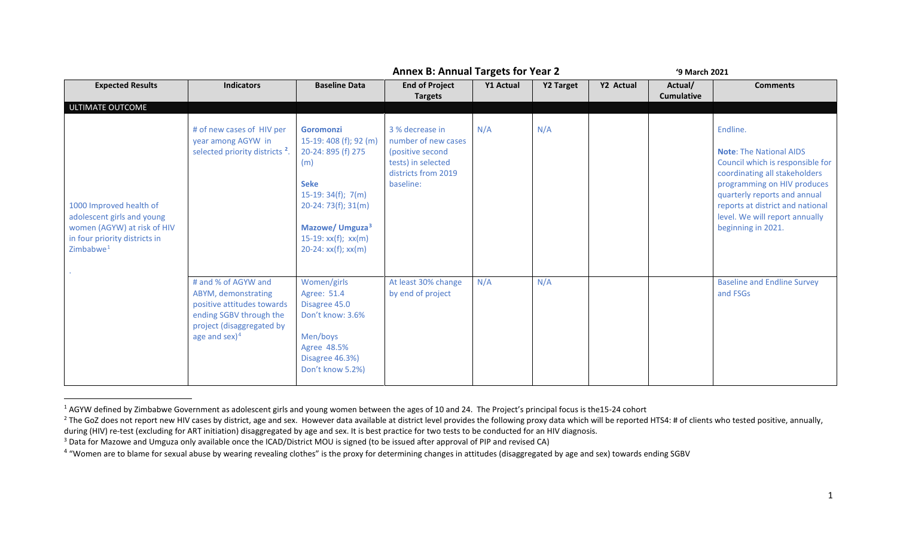<span id="page-16-3"></span><span id="page-16-2"></span><span id="page-16-1"></span><span id="page-16-0"></span>

|                                                                                                                                       |                                                                                                                                                      | <b>Annex B: Annual Targets for Year 2</b>                                                                                                                                                                              |                                                                                                                      |           |           | '9 March 2021 |                              |                                                                                                                                                                                                                                                                            |  |  |
|---------------------------------------------------------------------------------------------------------------------------------------|------------------------------------------------------------------------------------------------------------------------------------------------------|------------------------------------------------------------------------------------------------------------------------------------------------------------------------------------------------------------------------|----------------------------------------------------------------------------------------------------------------------|-----------|-----------|---------------|------------------------------|----------------------------------------------------------------------------------------------------------------------------------------------------------------------------------------------------------------------------------------------------------------------------|--|--|
| <b>Expected Results</b>                                                                                                               | <b>Indicators</b>                                                                                                                                    | <b>Baseline Data</b>                                                                                                                                                                                                   | <b>End of Project</b><br><b>Targets</b>                                                                              | Y1 Actual | Y2 Target | Y2 Actual     | Actual/<br><b>Cumulative</b> | <b>Comments</b>                                                                                                                                                                                                                                                            |  |  |
| ULTIMATE OUTCOME                                                                                                                      |                                                                                                                                                      |                                                                                                                                                                                                                        |                                                                                                                      |           |           |               |                              |                                                                                                                                                                                                                                                                            |  |  |
| 1000 Improved health of<br>adolescent girls and young<br>women (AGYW) at risk of HIV<br>in four priority districts in<br>Zimbabwe $1$ | # of new cases of HIV per<br>year among AGYW in<br>selected priority districts <sup>2</sup> .                                                        | <b>Goromonzi</b><br>15-19: 408 (f); 92 (m)<br>20-24: 895 (f) 275<br>(m)<br><b>Seke</b><br>$15-19:34(f); 7(m)$<br>$20-24:73(f); 31(m)$<br>Mazowe/ Umguza <sup>3</sup><br>$15-19: xx(f); xx(m)$<br>$20-24: xx(f); xx(m)$ | 3 % decrease in<br>number of new cases<br>(positive second<br>tests) in selected<br>districts from 2019<br>baseline: | N/A       | N/A       |               |                              | Endline.<br><b>Note: The National AIDS</b><br>Council which is responsible for<br>coordinating all stakeholders<br>programming on HIV produces<br>quarterly reports and annual<br>reports at district and national<br>level. We will report annually<br>beginning in 2021. |  |  |
|                                                                                                                                       | # and % of AGYW and<br>ABYM, demonstrating<br>positive attitudes towards<br>ending SGBV through the<br>project (disaggregated by<br>age and $sex)^4$ | Women/girls<br>Agree: 51.4<br>Disagree 45.0<br>Don't know: 3.6%<br>Men/boys<br>Agree 48.5%<br>Disagree 46.3%)<br>Don't know 5.2%)                                                                                      | At least 30% change<br>by end of project                                                                             | N/A       | N/A       |               |                              | <b>Baseline and Endline Survey</b><br>and FSGs                                                                                                                                                                                                                             |  |  |

<sup>&</sup>lt;sup>1</sup> AGYW defined by Zimbabwe Government as adolescent girls and young women between the ages of 10 and 24. The Project's principal focus is the15-24 cohort

<sup>&</sup>lt;sup>2</sup> The GoZ does not report new HIV cases by district, age and sex. However data available at district level provides the following proxy data which will be reported HTS4: # of clients who tested positive, annually, during

<sup>&</sup>lt;sup>3</sup> Data for Mazowe and Umguza only available once the ICAD/District MOU is signed (to be issued after approval of PIP and revised CA)

<sup>&</sup>lt;sup>4</sup> "Women are to blame for sexual abuse by wearing revealing clothes" is the proxy for determining changes in attitudes (disaggregated by age and sex) towards ending SGBV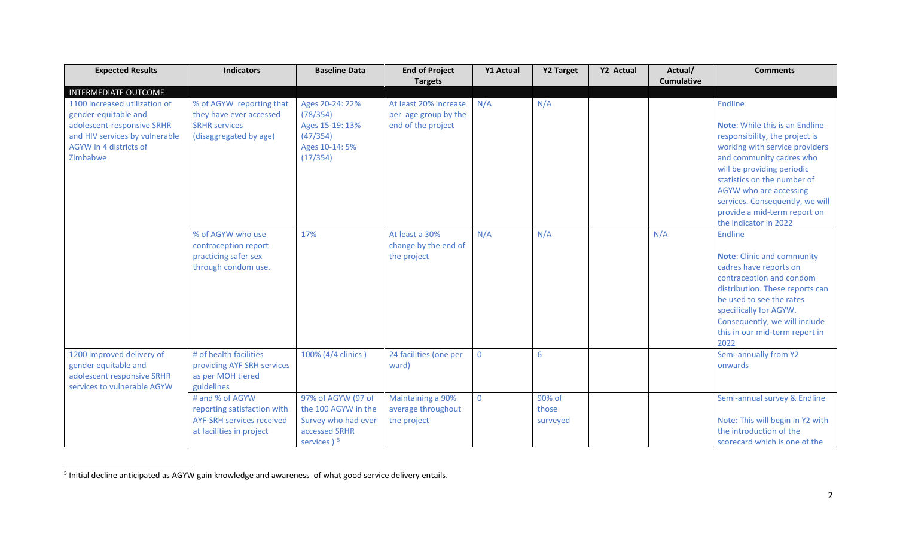<span id="page-17-0"></span>

| <b>Expected Results</b>                                                                                                                                     | <b>Indicators</b>                                                                                              | <b>Baseline Data</b>                                                                              | <b>End of Project</b>                                               | <b>Y1 Actual</b> | <b>Y2 Target</b>            | Y2 Actual | Actual/           | <b>Comments</b>                                                                                                                                                                                                                                                                                                                     |
|-------------------------------------------------------------------------------------------------------------------------------------------------------------|----------------------------------------------------------------------------------------------------------------|---------------------------------------------------------------------------------------------------|---------------------------------------------------------------------|------------------|-----------------------------|-----------|-------------------|-------------------------------------------------------------------------------------------------------------------------------------------------------------------------------------------------------------------------------------------------------------------------------------------------------------------------------------|
|                                                                                                                                                             |                                                                                                                |                                                                                                   | <b>Targets</b>                                                      |                  |                             |           | <b>Cumulative</b> |                                                                                                                                                                                                                                                                                                                                     |
| <b>INTERMEDIATE OUTCOME</b>                                                                                                                                 |                                                                                                                |                                                                                                   |                                                                     |                  |                             |           |                   |                                                                                                                                                                                                                                                                                                                                     |
| 1100 Increased utilization of<br>gender-equitable and<br>adolescent-responsive SRHR<br>and HIV services by vulnerable<br>AGYW in 4 districts of<br>Zimbabwe | % of AGYW reporting that<br>they have ever accessed<br><b>SRHR services</b><br>(disaggregated by age)          | Ages 20-24: 22%<br>(78/354)<br>Ages 15-19: 13%<br>(47/354)<br>Ages 10-14: 5%<br>(17/354)          | At least 20% increase<br>per age group by the<br>end of the project | N/A              | N/A                         |           |                   | Endline<br><b>Note:</b> While this is an Endline<br>responsibility, the project is<br>working with service providers<br>and community cadres who<br>will be providing periodic<br>statistics on the number of<br>AGYW who are accessing<br>services. Consequently, we will<br>provide a mid-term report on<br>the indicator in 2022 |
|                                                                                                                                                             | % of AGYW who use<br>contraception report<br>practicing safer sex<br>through condom use.                       | 17%                                                                                               | At least a 30%<br>change by the end of<br>the project               | N/A              | N/A                         |           | N/A               | Endline<br><b>Note:</b> Clinic and community<br>cadres have reports on<br>contraception and condom<br>distribution. These reports can<br>be used to see the rates<br>specifically for AGYW.<br>Consequently, we will include<br>this in our mid-term report in<br>2022                                                              |
| 1200 Improved delivery of<br>gender equitable and<br>adolescent responsive SRHR<br>services to vulnerable AGYW                                              | # of health facilities<br>providing AYF SRH services<br>as per MOH tiered<br>guidelines                        | 100% (4/4 clinics)                                                                                | 24 facilities (one per<br>ward)                                     | $\mathbf 0$      | 6                           |           |                   | Semi-annually from Y2<br>onwards                                                                                                                                                                                                                                                                                                    |
|                                                                                                                                                             | # and % of AGYW<br>reporting satisfaction with<br><b>AYF-SRH services received</b><br>at facilities in project | 97% of AGYW (97 of<br>the 100 AGYW in the<br>Survey who had ever<br>accessed SRHR<br>services $5$ | Maintaining a 90%<br>average throughout<br>the project              | $\mathbf{0}$     | 90% of<br>those<br>surveyed |           |                   | Semi-annual survey & Endline<br>Note: This will begin in Y2 with<br>the introduction of the<br>scorecard which is one of the                                                                                                                                                                                                        |

 <sup>5</sup> Initial decline anticipated as AGYW gain knowledge and awareness of what good service delivery entails.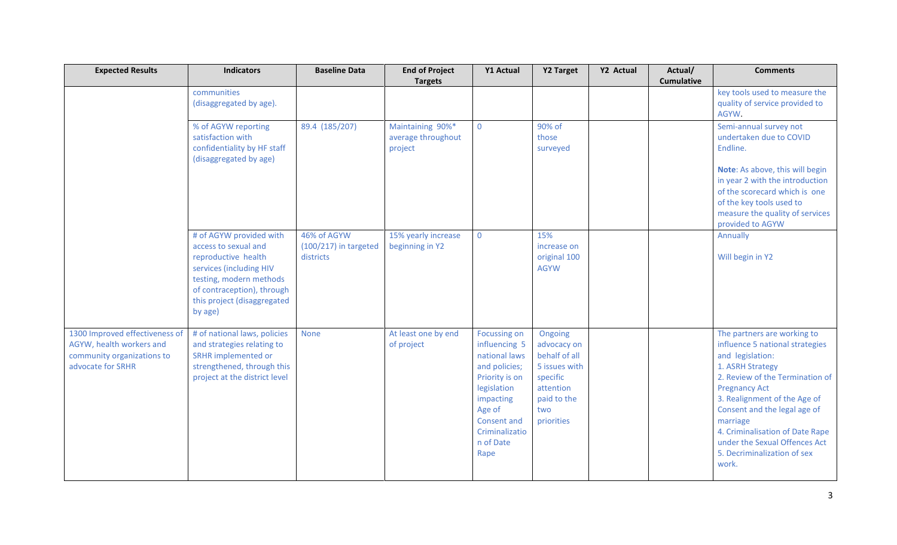| <b>Expected Results</b>                                                                                       | <b>Indicators</b>                                                                                                                                                                                    | <b>Baseline Data</b>                                | <b>End of Project</b><br><b>Targets</b>           | <b>Y1 Actual</b>                                                                                                                                                                     | <b>Y2 Target</b>                                                                                                      | Y2 Actual | Actual/<br><b>Cumulative</b> | <b>Comments</b>                                                                                                                                                                                                                                                                                                                                           |
|---------------------------------------------------------------------------------------------------------------|------------------------------------------------------------------------------------------------------------------------------------------------------------------------------------------------------|-----------------------------------------------------|---------------------------------------------------|--------------------------------------------------------------------------------------------------------------------------------------------------------------------------------------|-----------------------------------------------------------------------------------------------------------------------|-----------|------------------------------|-----------------------------------------------------------------------------------------------------------------------------------------------------------------------------------------------------------------------------------------------------------------------------------------------------------------------------------------------------------|
|                                                                                                               | communities<br>(disaggregated by age).                                                                                                                                                               |                                                     |                                                   |                                                                                                                                                                                      |                                                                                                                       |           |                              | key tools used to measure the<br>quality of service provided to<br>AGYW.                                                                                                                                                                                                                                                                                  |
|                                                                                                               | % of AGYW reporting<br>satisfaction with<br>confidentiality by HF staff<br>(disaggregated by age)                                                                                                    | 89.4 (185/207)                                      | Maintaining 90%*<br>average throughout<br>project | $\mathbf{0}$                                                                                                                                                                         | 90% of<br>those<br>surveyed                                                                                           |           |                              | Semi-annual survey not<br>undertaken due to COVID<br>Endline.<br>Note: As above, this will begin<br>in year 2 with the introduction<br>of the scorecard which is one<br>of the key tools used to<br>measure the quality of services<br>provided to AGYW                                                                                                   |
|                                                                                                               | # of AGYW provided with<br>access to sexual and<br>reproductive health<br>services (including HIV<br>testing, modern methods<br>of contraception), through<br>this project (disaggregated<br>by age) | 46% of AGYW<br>$(100/217)$ in targeted<br>districts | 15% yearly increase<br>beginning in Y2            | $\mathbf 0$                                                                                                                                                                          | 15%<br>increase on<br>original 100<br><b>AGYW</b>                                                                     |           |                              | Annually<br>Will begin in Y2                                                                                                                                                                                                                                                                                                                              |
| 1300 Improved effectiveness of<br>AGYW, health workers and<br>community organizations to<br>advocate for SRHR | # of national laws, policies<br>and strategies relating to<br><b>SRHR</b> implemented or<br>strengthened, through this<br>project at the district level                                              | <b>None</b>                                         | At least one by end<br>of project                 | <b>Focussing on</b><br>influencing 5<br>national laws<br>and policies;<br>Priority is on<br>legislation<br>impacting<br>Age of<br>Consent and<br>Criminalizatio<br>n of Date<br>Rape | Ongoing<br>advocacy on<br>behalf of all<br>5 issues with<br>specific<br>attention<br>paid to the<br>two<br>priorities |           |                              | The partners are working to<br>influence 5 national strategies<br>and legislation:<br>1. ASRH Strategy<br>2. Review of the Termination of<br><b>Pregnancy Act</b><br>3. Realignment of the Age of<br>Consent and the legal age of<br>marriage<br>4. Criminalisation of Date Rape<br>under the Sexual Offences Act<br>5. Decriminalization of sex<br>work. |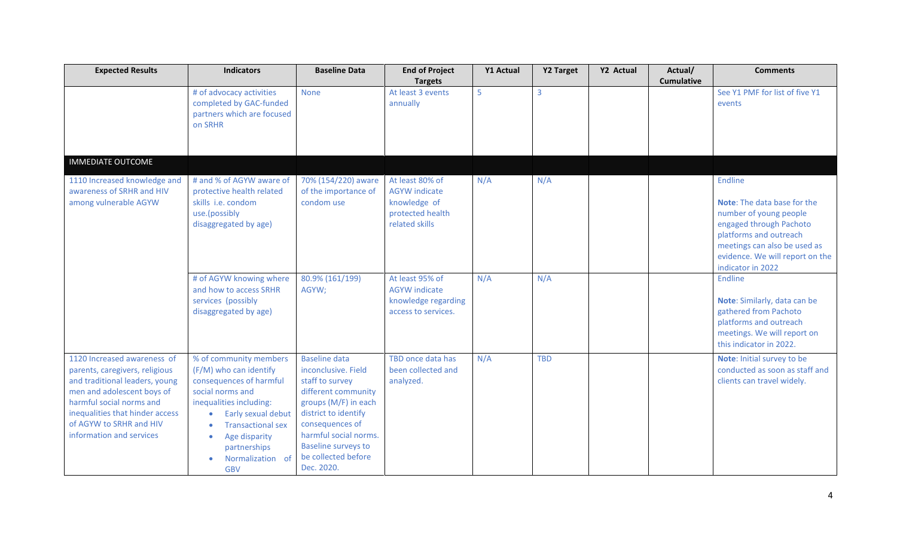| <b>Expected Results</b>                                                                                                                                                                                                                             | <b>Indicators</b>                                                                                                                                                                                                                                            | <b>Baseline Data</b>                                                                                                                                                                                                                                 | <b>End of Project</b>                                                                         | Y1 Actual | Y2 Target      | Y2 Actual | Actual/           | <b>Comments</b>                                                                                                                                                                                                      |
|-----------------------------------------------------------------------------------------------------------------------------------------------------------------------------------------------------------------------------------------------------|--------------------------------------------------------------------------------------------------------------------------------------------------------------------------------------------------------------------------------------------------------------|------------------------------------------------------------------------------------------------------------------------------------------------------------------------------------------------------------------------------------------------------|-----------------------------------------------------------------------------------------------|-----------|----------------|-----------|-------------------|----------------------------------------------------------------------------------------------------------------------------------------------------------------------------------------------------------------------|
|                                                                                                                                                                                                                                                     | # of advocacy activities<br>completed by GAC-funded<br>partners which are focused<br>on SRHR                                                                                                                                                                 | <b>None</b>                                                                                                                                                                                                                                          | <b>Targets</b><br>At least 3 events<br>annually                                               | 5         | $\overline{3}$ |           | <b>Cumulative</b> | See Y1 PMF for list of five Y1<br>events                                                                                                                                                                             |
| <b>IMMEDIATE OUTCOME</b>                                                                                                                                                                                                                            |                                                                                                                                                                                                                                                              |                                                                                                                                                                                                                                                      |                                                                                               |           |                |           |                   |                                                                                                                                                                                                                      |
| 1110 Increased knowledge and<br>awareness of SRHR and HIV<br>among vulnerable AGYW                                                                                                                                                                  | # and % of AGYW aware of<br>protective health related<br>skills i.e. condom<br>use.(possibly<br>disaggregated by age)                                                                                                                                        | 70% (154/220) aware<br>of the importance of<br>condom use                                                                                                                                                                                            | At least 80% of<br><b>AGYW</b> indicate<br>knowledge of<br>protected health<br>related skills | N/A       | N/A            |           |                   | Endline<br><b>Note:</b> The data base for the<br>number of young people<br>engaged through Pachoto<br>platforms and outreach<br>meetings can also be used as<br>evidence. We will report on the<br>indicator in 2022 |
|                                                                                                                                                                                                                                                     | # of AGYW knowing where<br>and how to access SRHR<br>services (possibly<br>disaggregated by age)                                                                                                                                                             | 80.9% (161/199)<br>AGYW;                                                                                                                                                                                                                             | At least 95% of<br><b>AGYW</b> indicate<br>knowledge regarding<br>access to services.         | N/A       | N/A            |           |                   | Endline<br>Note: Similarly, data can be<br>gathered from Pachoto<br>platforms and outreach<br>meetings. We will report on<br>this indicator in 2022.                                                                 |
| 1120 Increased awareness of<br>parents, caregivers, religious<br>and traditional leaders, young<br>men and adolescent boys of<br>harmful social norms and<br>inequalities that hinder access<br>of AGYW to SRHR and HIV<br>information and services | % of community members<br>(F/M) who can identify<br>consequences of harmful<br>social norms and<br>inequalities including:<br>Early sexual debut<br><b>Transactional sex</b><br>Age disparity<br>$\bullet$<br>partnerships<br>Normalization of<br><b>GBV</b> | <b>Baseline data</b><br>inconclusive. Field<br>staff to survey<br>different community<br>groups (M/F) in each<br>district to identify<br>consequences of<br>harmful social norms.<br><b>Baseline surveys to</b><br>be collected before<br>Dec. 2020. | TBD once data has<br>been collected and<br>analyzed.                                          | N/A       | <b>TBD</b>     |           |                   | Note: Initial survey to be<br>conducted as soon as staff and<br>clients can travel widely.                                                                                                                           |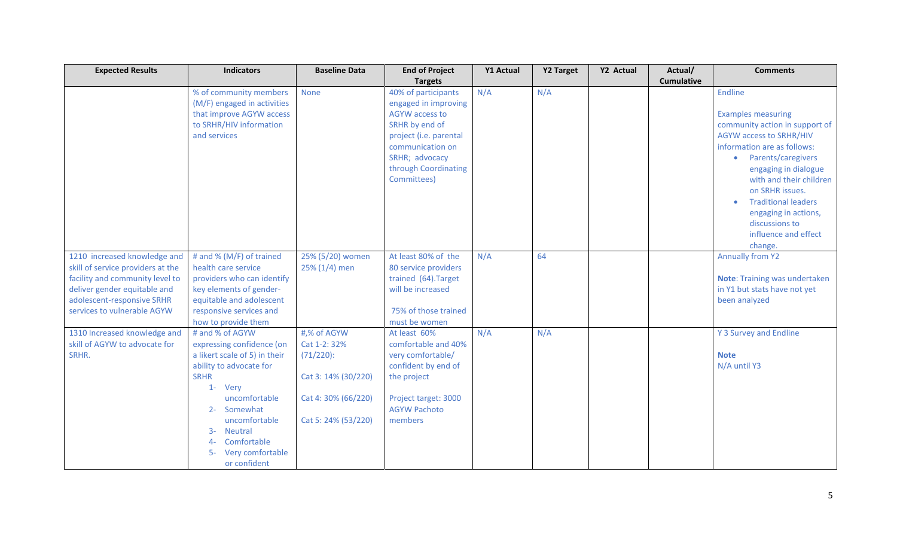| <b>Expected Results</b>                                              | <b>Indicators</b>                                 | <b>Baseline Data</b> | <b>End of Project</b>                     | <b>Y1 Actual</b> | <b>Y2 Target</b> | Y2 Actual | Actual/           | <b>Comments</b>                 |
|----------------------------------------------------------------------|---------------------------------------------------|----------------------|-------------------------------------------|------------------|------------------|-----------|-------------------|---------------------------------|
|                                                                      |                                                   |                      | <b>Targets</b>                            |                  |                  |           | <b>Cumulative</b> |                                 |
|                                                                      | % of community members                            | None                 | 40% of participants                       | N/A              | N/A              |           |                   | Endline                         |
|                                                                      | (M/F) engaged in activities                       |                      | engaged in improving                      |                  |                  |           |                   |                                 |
|                                                                      | that improve AGYW access                          |                      | <b>AGYW</b> access to                     |                  |                  |           |                   | <b>Examples measuring</b>       |
|                                                                      | to SRHR/HIV information                           |                      | SRHR by end of                            |                  |                  |           |                   | community action in support of  |
|                                                                      | and services                                      |                      | project (i.e. parental                    |                  |                  |           |                   | <b>AGYW access to SRHR/HIV</b>  |
|                                                                      |                                                   |                      | communication on                          |                  |                  |           |                   | information are as follows:     |
|                                                                      |                                                   |                      | SRHR; advocacy                            |                  |                  |           |                   | Parents/caregivers<br>$\bullet$ |
|                                                                      |                                                   |                      | through Coordinating                      |                  |                  |           |                   | engaging in dialogue            |
|                                                                      |                                                   |                      | Committees)                               |                  |                  |           |                   | with and their children         |
|                                                                      |                                                   |                      |                                           |                  |                  |           |                   | on SRHR issues.                 |
|                                                                      |                                                   |                      |                                           |                  |                  |           |                   | <b>Traditional leaders</b>      |
|                                                                      |                                                   |                      |                                           |                  |                  |           |                   | engaging in actions,            |
|                                                                      |                                                   |                      |                                           |                  |                  |           |                   | discussions to                  |
|                                                                      |                                                   |                      |                                           |                  |                  |           |                   | influence and effect            |
|                                                                      |                                                   |                      |                                           |                  |                  |           |                   | change.                         |
| 1210 increased knowledge and                                         | # and % (M/F) of trained                          | 25% (5/20) women     | At least 80% of the                       | N/A              | 64               |           |                   | <b>Annually from Y2</b>         |
| skill of service providers at the<br>facility and community level to | health care service<br>providers who can identify | 25% (1/4) men        | 80 service providers                      |                  |                  |           |                   | Note: Training was undertaken   |
| deliver gender equitable and                                         | key elements of gender-                           |                      | trained (64). Target<br>will be increased |                  |                  |           |                   | in Y1 but stats have not yet    |
| adolescent-responsive SRHR                                           | equitable and adolescent                          |                      |                                           |                  |                  |           |                   | been analyzed                   |
| services to vulnerable AGYW                                          | responsive services and                           |                      | 75% of those trained                      |                  |                  |           |                   |                                 |
|                                                                      | how to provide them                               |                      | must be women                             |                  |                  |           |                   |                                 |
| 1310 Increased knowledge and                                         | # and % of AGYW                                   | #,% of AGYW          | At least 60%                              | N/A              | N/A              |           |                   | Y 3 Survey and Endline          |
| skill of AGYW to advocate for                                        | expressing confidence (on                         | Cat 1-2: 32%         | comfortable and 40%                       |                  |                  |           |                   |                                 |
| SRHR.                                                                | a likert scale of 5) in their                     | $(71/220)$ :         | very comfortable/                         |                  |                  |           |                   | <b>Note</b>                     |
|                                                                      | ability to advocate for                           |                      | confident by end of                       |                  |                  |           |                   | N/A until Y3                    |
|                                                                      | <b>SRHR</b>                                       | Cat 3: 14% (30/220)  | the project                               |                  |                  |           |                   |                                 |
|                                                                      | 1- Very                                           |                      |                                           |                  |                  |           |                   |                                 |
|                                                                      | uncomfortable                                     | Cat 4:30% (66/220)   | Project target: 3000                      |                  |                  |           |                   |                                 |
|                                                                      | Somewhat<br>$2 -$                                 |                      | <b>AGYW Pachoto</b>                       |                  |                  |           |                   |                                 |
|                                                                      | uncomfortable                                     | Cat 5: 24% (53/220)  | members                                   |                  |                  |           |                   |                                 |
|                                                                      | <b>Neutral</b><br>$3-$                            |                      |                                           |                  |                  |           |                   |                                 |
|                                                                      | Comfortable<br>4-                                 |                      |                                           |                  |                  |           |                   |                                 |
|                                                                      | Very comfortable<br>- 5                           |                      |                                           |                  |                  |           |                   |                                 |
|                                                                      | or confident                                      |                      |                                           |                  |                  |           |                   |                                 |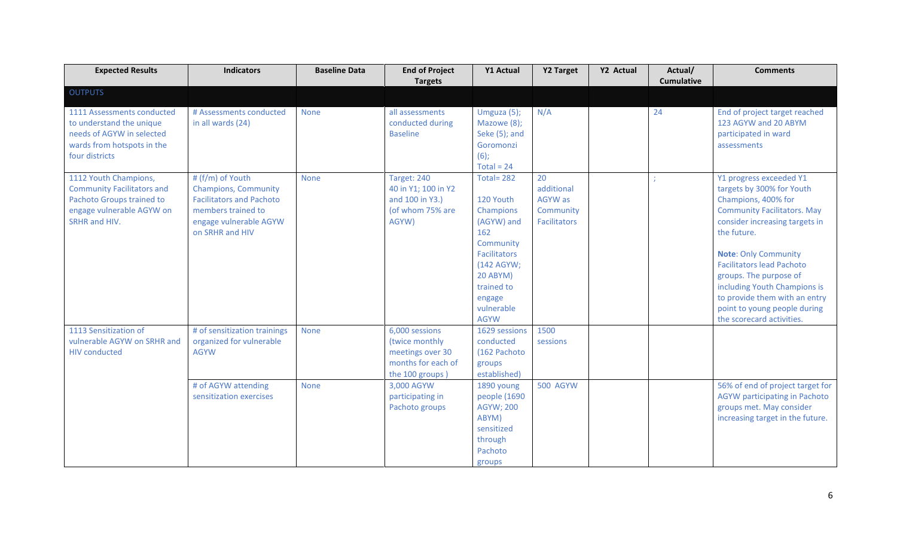| <b>Expected Results</b>                                                                                                               | <b>Indicators</b>                                                                                                                                     | <b>Baseline Data</b> | <b>End of Project</b><br><b>Targets</b>                                                       | Y1 Actual                                                                                                                                                                    | <b>Y2 Target</b>                                                | Y2 Actual | Actual/<br><b>Cumulative</b> | <b>Comments</b>                                                                                                                                                                                                                                                                                                                                                                               |
|---------------------------------------------------------------------------------------------------------------------------------------|-------------------------------------------------------------------------------------------------------------------------------------------------------|----------------------|-----------------------------------------------------------------------------------------------|------------------------------------------------------------------------------------------------------------------------------------------------------------------------------|-----------------------------------------------------------------|-----------|------------------------------|-----------------------------------------------------------------------------------------------------------------------------------------------------------------------------------------------------------------------------------------------------------------------------------------------------------------------------------------------------------------------------------------------|
| <b>OUTPUTS</b>                                                                                                                        |                                                                                                                                                       |                      |                                                                                               |                                                                                                                                                                              |                                                                 |           |                              |                                                                                                                                                                                                                                                                                                                                                                                               |
| 1111 Assessments conducted<br>to understand the unique<br>needs of AGYW in selected<br>wards from hotspots in the<br>four districts   | # Assessments conducted<br>in all wards (24)                                                                                                          | <b>None</b>          | all assessments<br>conducted during<br><b>Baseline</b>                                        | Umguza (5);<br>Mazowe (8);<br>Seke (5); and<br>Goromonzi<br>$(6)$ ;<br>Total = $24$                                                                                          | N/A                                                             |           | 24                           | End of project target reached<br>123 AGYW and 20 ABYM<br>participated in ward<br>assessments                                                                                                                                                                                                                                                                                                  |
| 1112 Youth Champions,<br><b>Community Facilitators and</b><br>Pachoto Groups trained to<br>engage vulnerable AGYW on<br>SRHR and HIV. | # (f/m) of Youth<br><b>Champions, Community</b><br><b>Facilitators and Pachoto</b><br>members trained to<br>engage vulnerable AGYW<br>on SRHR and HIV | <b>None</b>          | Target: 240<br>40 in Y1; 100 in Y2<br>and 100 in Y3.)<br>(of whom 75% are<br>AGYW)            | <b>Total= 282</b><br>120 Youth<br>Champions<br>(AGYW) and<br>162<br>Community<br>Facilitators<br>(142 AGYW;<br>20 ABYM)<br>trained to<br>engage<br>vulnerable<br><b>AGYW</b> | 20<br>additional<br>AGYW as<br>Community<br><b>Facilitators</b> |           |                              | Y1 progress exceeded Y1<br>targets by 300% for Youth<br>Champions, 400% for<br><b>Community Facilitators. May</b><br>consider increasing targets in<br>the future.<br><b>Note: Only Community</b><br><b>Facilitators lead Pachoto</b><br>groups. The purpose of<br>including Youth Champions is<br>to provide them with an entry<br>point to young people during<br>the scorecard activities. |
| 1113 Sensitization of<br>vulnerable AGYW on SRHR and<br><b>HIV conducted</b>                                                          | # of sensitization trainings<br>organized for vulnerable<br><b>AGYW</b>                                                                               | <b>None</b>          | 6,000 sessions<br>(twice monthly<br>meetings over 30<br>months for each of<br>the 100 groups) | 1629 sessions<br>conducted<br>(162 Pachoto<br>groups<br>established)                                                                                                         | 1500<br>sessions                                                |           |                              |                                                                                                                                                                                                                                                                                                                                                                                               |
|                                                                                                                                       | # of AGYW attending<br>sensitization exercises                                                                                                        | <b>None</b>          | 3,000 AGYW<br>participating in<br>Pachoto groups                                              | 1890 young<br>people (1690<br><b>AGYW; 200</b><br>ABYM)<br>sensitized<br>through<br>Pachoto<br>groups                                                                        | <b>500 AGYW</b>                                                 |           |                              | 56% of end of project target for<br>AGYW participating in Pachoto<br>groups met. May consider<br>increasing target in the future.                                                                                                                                                                                                                                                             |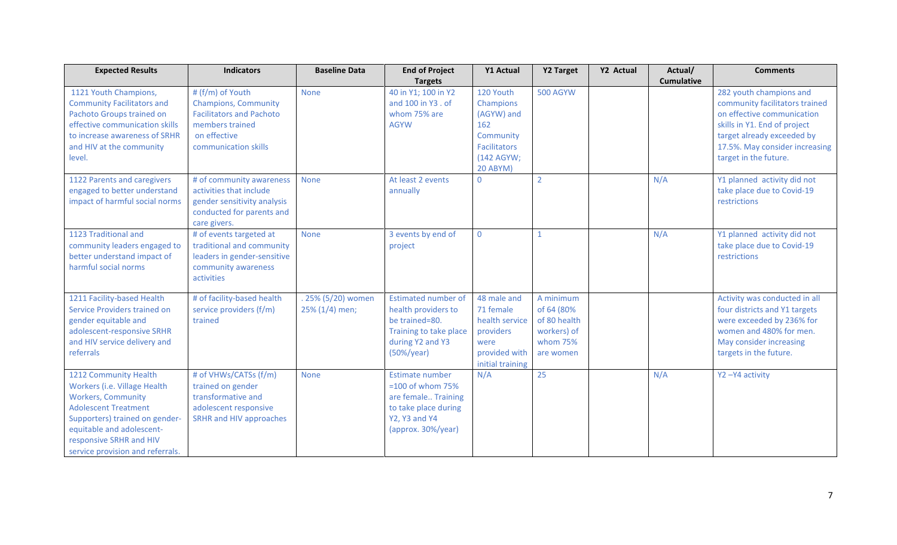| <b>Expected Results</b>           | <b>Indicators</b>               | <b>Baseline Data</b> | <b>End of Project</b>      | <b>Y1 Actual</b>    | Y2 Target       | Y2 Actual | Actual/           | <b>Comments</b>                |
|-----------------------------------|---------------------------------|----------------------|----------------------------|---------------------|-----------------|-----------|-------------------|--------------------------------|
|                                   |                                 |                      | <b>Targets</b>             |                     |                 |           | <b>Cumulative</b> |                                |
| 1121 Youth Champions,             | # (f/m) of Youth                | None                 | 40 in Y1; 100 in Y2        | 120 Youth           | <b>500 AGYW</b> |           |                   | 282 youth champions and        |
| <b>Community Facilitators and</b> | <b>Champions, Community</b>     |                      | and 100 in Y3 . of         | Champions           |                 |           |                   | community facilitators trained |
| Pachoto Groups trained on         | <b>Facilitators and Pachoto</b> |                      | whom 75% are               | (AGYW) and          |                 |           |                   | on effective communication     |
| effective communication skills    | members trained                 |                      | <b>AGYW</b>                | 162                 |                 |           |                   | skills in Y1. End of project   |
| to increase awareness of SRHR     | on effective                    |                      |                            | Community           |                 |           |                   | target already exceeded by     |
| and HIV at the community          | communication skills            |                      |                            | <b>Facilitators</b> |                 |           |                   | 17.5%. May consider increasing |
| level.                            |                                 |                      |                            | (142 AGYW;          |                 |           |                   | target in the future.          |
|                                   |                                 |                      |                            | 20 ABYM)            |                 |           |                   |                                |
| 1122 Parents and caregivers       | # of community awareness        | <b>None</b>          | At least 2 events          | $\overline{0}$      | $\overline{2}$  |           | N/A               | Y1 planned activity did not    |
| engaged to better understand      | activities that include         |                      | annually                   |                     |                 |           |                   | take place due to Covid-19     |
| impact of harmful social norms    | gender sensitivity analysis     |                      |                            |                     |                 |           |                   | restrictions                   |
|                                   | conducted for parents and       |                      |                            |                     |                 |           |                   |                                |
|                                   | care givers.                    |                      |                            |                     |                 |           |                   |                                |
| 1123 Traditional and              | # of events targeted at         | <b>None</b>          | 3 events by end of         | $\mathbf 0$         |                 |           | N/A               | Y1 planned activity did not    |
| community leaders engaged to      | traditional and community       |                      | project                    |                     |                 |           |                   | take place due to Covid-19     |
| better understand impact of       | leaders in gender-sensitive     |                      |                            |                     |                 |           |                   | restrictions                   |
| harmful social norms              | community awareness             |                      |                            |                     |                 |           |                   |                                |
|                                   | activities                      |                      |                            |                     |                 |           |                   |                                |
|                                   |                                 |                      |                            |                     |                 |           |                   |                                |
| 1211 Facility-based Health        | # of facility-based health      | . 25% (5/20) women   | <b>Estimated number of</b> | 48 male and         | A minimum       |           |                   | Activity was conducted in all  |
| Service Providers trained on      | service providers (f/m)         | 25% (1/4) men;       | health providers to        | 71 female           | of 64 (80%      |           |                   | four districts and Y1 targets  |
| gender equitable and              | trained                         |                      | be trained=80.             | health service      | of 80 health    |           |                   | were exceeded by 236% for      |
| adolescent-responsive SRHR        |                                 |                      | Training to take place     | providers           | workers) of     |           |                   | women and 480% for men.        |
| and HIV service delivery and      |                                 |                      | during Y2 and Y3           | were                | whom 75%        |           |                   | May consider increasing        |
| referrals                         |                                 |                      | $(50\%/year)$              | provided with       | are women       |           |                   | targets in the future.         |
|                                   |                                 |                      |                            | initial training    |                 |           |                   |                                |
| 1212 Community Health             | # of VHWs/CATSs (f/m)           | <b>None</b>          | Estimate number            | N/A                 | 25              |           | N/A               | Y2-Y4 activity                 |
| Workers (i.e. Village Health      | trained on gender               |                      | $=100$ of whom 75%         |                     |                 |           |                   |                                |
| <b>Workers, Community</b>         | transformative and              |                      | are female Training        |                     |                 |           |                   |                                |
| <b>Adolescent Treatment</b>       | adolescent responsive           |                      | to take place during       |                     |                 |           |                   |                                |
| Supporters) trained on gender-    | SRHR and HIV approaches         |                      | <b>Y2, Y3 and Y4</b>       |                     |                 |           |                   |                                |
| equitable and adolescent-         |                                 |                      | (approx. 30%/year)         |                     |                 |           |                   |                                |
| responsive SRHR and HIV           |                                 |                      |                            |                     |                 |           |                   |                                |
| service provision and referrals.  |                                 |                      |                            |                     |                 |           |                   |                                |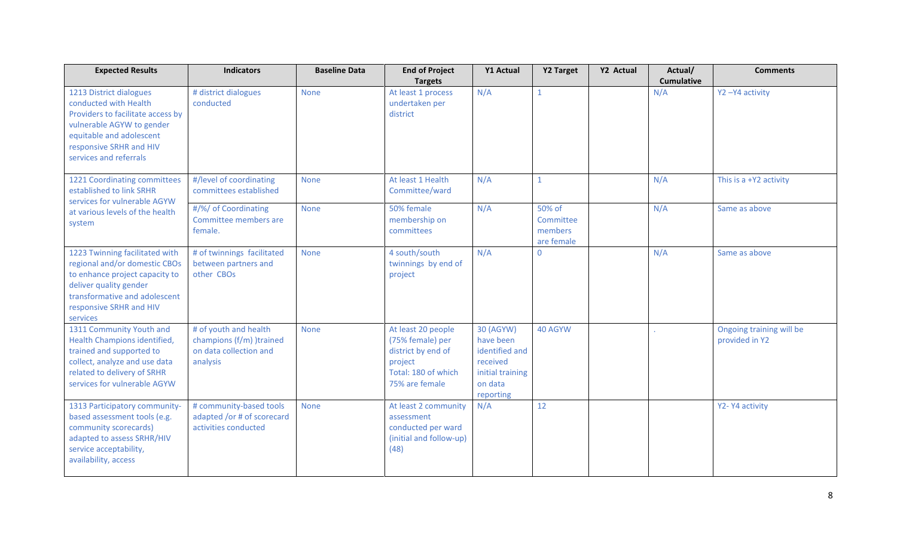| <b>Expected Results</b>                                                                                                                                                                             | <b>Indicators</b>                                                                       | <b>Baseline Data</b> | <b>End of Project</b><br><b>Targets</b>                                                                          | Y1 Actual                                                                                        | <b>Y2 Target</b>                             | Y2 Actual | Actual/<br><b>Cumulative</b> | <b>Comments</b>                            |
|-----------------------------------------------------------------------------------------------------------------------------------------------------------------------------------------------------|-----------------------------------------------------------------------------------------|----------------------|------------------------------------------------------------------------------------------------------------------|--------------------------------------------------------------------------------------------------|----------------------------------------------|-----------|------------------------------|--------------------------------------------|
| 1213 District dialogues<br>conducted with Health<br>Providers to facilitate access by<br>vulnerable AGYW to gender<br>equitable and adolescent<br>responsive SRHR and HIV<br>services and referrals | # district dialogues<br>conducted                                                       | <b>None</b>          | At least 1 process<br>undertaken per<br>district                                                                 | N/A                                                                                              | $\mathbf{1}$                                 |           | N/A                          | Y2-Y4 activity                             |
| 1221 Coordinating committees<br>established to link SRHR<br>services for vulnerable AGYW                                                                                                            | #/level of coordinating<br>committees established                                       | <b>None</b>          | At least 1 Health<br>Committee/ward                                                                              | N/A                                                                                              | $\mathbf{1}$                                 |           | N/A                          | This is a +Y2 activity                     |
| at various levels of the health<br>system                                                                                                                                                           | #/%/ of Coordinating<br>Committee members are<br>female.                                | <b>None</b>          | 50% female<br>membership on<br>committees                                                                        | N/A                                                                                              | 50% of<br>Committee<br>members<br>are female |           | N/A                          | Same as above                              |
| 1223 Twinning facilitated with<br>regional and/or domestic CBOs<br>to enhance project capacity to<br>deliver quality gender<br>transformative and adolescent<br>responsive SRHR and HIV<br>services | # of twinnings facilitated<br>between partners and<br>other CBOs                        | <b>None</b>          | 4 south/south<br>twinnings by end of<br>project                                                                  | N/A                                                                                              | $\mathbf{0}$                                 |           | N/A                          | Same as above                              |
| 1311 Community Youth and<br>Health Champions identified,<br>trained and supported to<br>collect, analyze and use data<br>related to delivery of SRHR<br>services for vulnerable AGYW                | # of youth and health<br>champions (f/m) )trained<br>on data collection and<br>analysis | <b>None</b>          | At least 20 people<br>(75% female) per<br>district by end of<br>project<br>Total: 180 of which<br>75% are female | 30 (AGYW)<br>have been<br>identified and<br>received<br>initial training<br>on data<br>reporting | 40 AGYW                                      |           |                              | Ongoing training will be<br>provided in Y2 |
| 1313 Participatory community-<br>based assessment tools (e.g.<br>community scorecards)<br>adapted to assess SRHR/HIV<br>service acceptability,<br>availability, access                              | # community-based tools<br>adapted /or # of scorecard<br>activities conducted           | <b>None</b>          | At least 2 community<br>assessment<br>conducted per ward<br>(initial and follow-up)<br>(48)                      | N/A                                                                                              | 12                                           |           |                              | Y2-Y4 activity                             |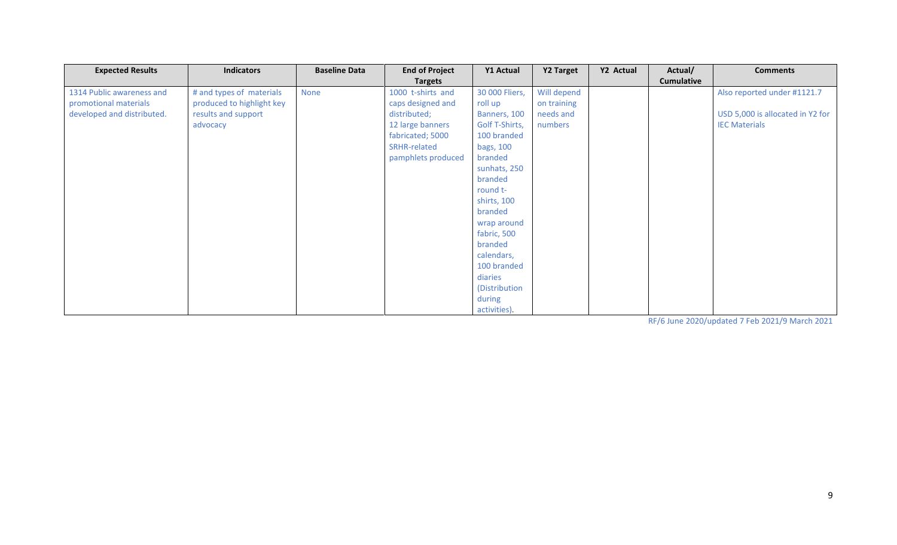| <b>Expected Results</b>    | <b>Indicators</b>         | <b>Baseline Data</b> | <b>End of Project</b> | Y1 Actual      | Y2 Target   | Y2 Actual | Actual/           | <b>Comments</b>                  |
|----------------------------|---------------------------|----------------------|-----------------------|----------------|-------------|-----------|-------------------|----------------------------------|
|                            |                           |                      | <b>Targets</b>        |                |             |           | <b>Cumulative</b> |                                  |
| 1314 Public awareness and  | # and types of materials  | None                 | 1000 t-shirts and     | 30 000 Fliers, | Will depend |           |                   | Also reported under #1121.7      |
| promotional materials      | produced to highlight key |                      | caps designed and     | roll up        | on training |           |                   |                                  |
| developed and distributed. | results and support       |                      | distributed;          | Banners, 100   | needs and   |           |                   | USD 5,000 is allocated in Y2 for |
|                            | advocacy                  |                      | 12 large banners      | Golf T-Shirts, | numbers     |           |                   | <b>IEC Materials</b>             |
|                            |                           |                      | fabricated; 5000      | 100 branded    |             |           |                   |                                  |
|                            |                           |                      | SRHR-related          | bags, 100      |             |           |                   |                                  |
|                            |                           |                      | pamphlets produced    | branded        |             |           |                   |                                  |
|                            |                           |                      |                       | sunhats, 250   |             |           |                   |                                  |
|                            |                           |                      |                       | branded        |             |           |                   |                                  |
|                            |                           |                      |                       | round t-       |             |           |                   |                                  |
|                            |                           |                      |                       | shirts, 100    |             |           |                   |                                  |
|                            |                           |                      |                       | branded        |             |           |                   |                                  |
|                            |                           |                      |                       | wrap around    |             |           |                   |                                  |
|                            |                           |                      |                       | fabric, 500    |             |           |                   |                                  |
|                            |                           |                      |                       | branded        |             |           |                   |                                  |
|                            |                           |                      |                       | calendars,     |             |           |                   |                                  |
|                            |                           |                      |                       | 100 branded    |             |           |                   |                                  |
|                            |                           |                      |                       | diaries        |             |           |                   |                                  |
|                            |                           |                      |                       | (Distribution  |             |           |                   |                                  |
|                            |                           |                      |                       | during         |             |           |                   |                                  |
|                            |                           |                      |                       | activities).   |             |           |                   |                                  |

RF/6 June 2020/updated 7 Feb 2021/9 March 2021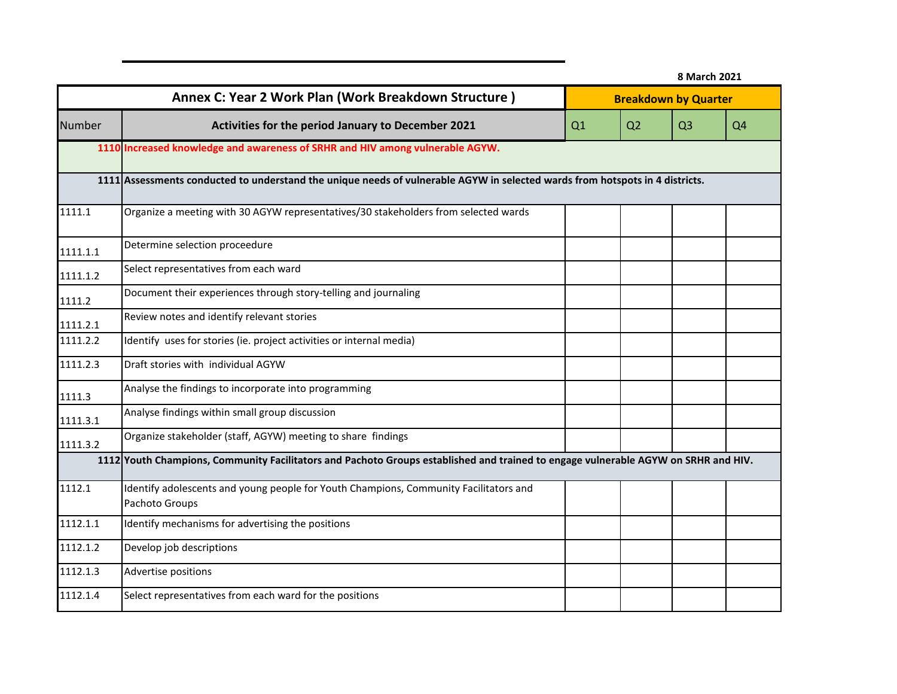|          |                                                                                                                                    | 8 March 2021 |                |                             |                |  |  |  |
|----------|------------------------------------------------------------------------------------------------------------------------------------|--------------|----------------|-----------------------------|----------------|--|--|--|
|          | Annex C: Year 2 Work Plan (Work Breakdown Structure)                                                                               |              |                | <b>Breakdown by Quarter</b> |                |  |  |  |
| Number   | Activities for the period January to December 2021                                                                                 | Q1           | Q <sub>2</sub> | Q <sub>3</sub>              | Q <sub>4</sub> |  |  |  |
|          | 1110 Increased knowledge and awareness of SRHR and HIV among vulnerable AGYW.                                                      |              |                |                             |                |  |  |  |
|          | 1111 Assessments conducted to understand the unique needs of vulnerable AGYW in selected wards from hotspots in 4 districts.       |              |                |                             |                |  |  |  |
| 1111.1   | Organize a meeting with 30 AGYW representatives/30 stakeholders from selected wards                                                |              |                |                             |                |  |  |  |
| 1111.1.1 | Determine selection proceedure                                                                                                     |              |                |                             |                |  |  |  |
| 1111.1.2 | Select representatives from each ward                                                                                              |              |                |                             |                |  |  |  |
| 1111.2   | Document their experiences through story-telling and journaling                                                                    |              |                |                             |                |  |  |  |
| 1111.2.1 | Review notes and identify relevant stories                                                                                         |              |                |                             |                |  |  |  |
| 1111.2.2 | Identify uses for stories (ie. project activities or internal media)                                                               |              |                |                             |                |  |  |  |
| 1111.2.3 | Draft stories with individual AGYW                                                                                                 |              |                |                             |                |  |  |  |
| 1111.3   | Analyse the findings to incorporate into programming                                                                               |              |                |                             |                |  |  |  |
| 1111.3.1 | Analyse findings within small group discussion                                                                                     |              |                |                             |                |  |  |  |
| 1111.3.2 | Organize stakeholder (staff, AGYW) meeting to share findings                                                                       |              |                |                             |                |  |  |  |
|          | 1112 Youth Champions, Community Facilitators and Pachoto Groups established and trained to engage vulnerable AGYW on SRHR and HIV. |              |                |                             |                |  |  |  |
| 1112.1   | Identify adolescents and young people for Youth Champions, Community Facilitators and<br>Pachoto Groups                            |              |                |                             |                |  |  |  |
| 1112.1.1 | Identify mechanisms for advertising the positions                                                                                  |              |                |                             |                |  |  |  |
| 1112.1.2 | Develop job descriptions                                                                                                           |              |                |                             |                |  |  |  |
| 1112.1.3 | Advertise positions                                                                                                                |              |                |                             |                |  |  |  |
| 1112.1.4 | Select representatives from each ward for the positions                                                                            |              |                |                             |                |  |  |  |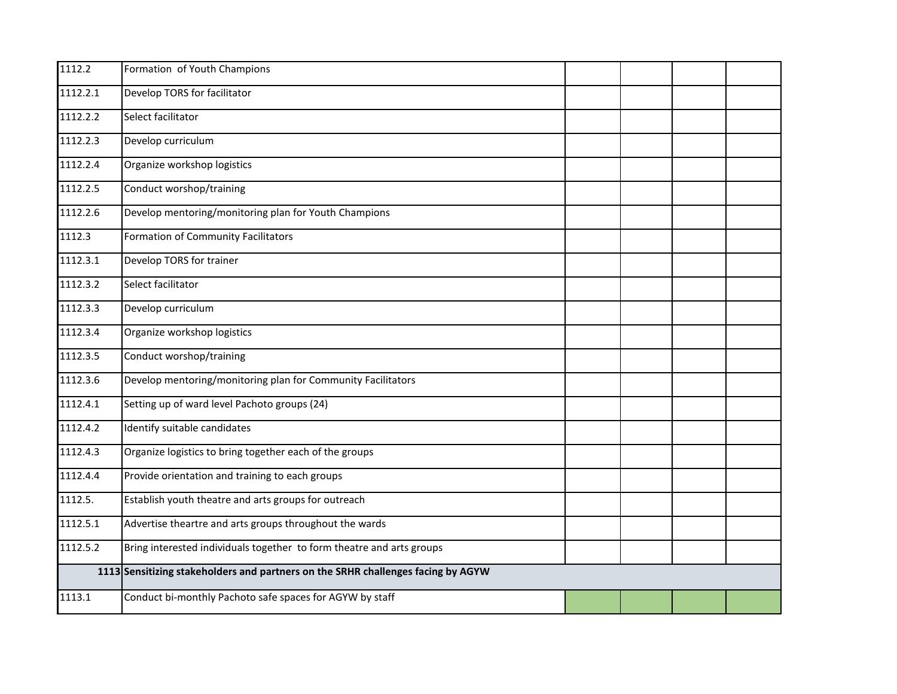| 1112.2   | Formation of Youth Champions                                                     |  |  |
|----------|----------------------------------------------------------------------------------|--|--|
| 1112.2.1 | Develop TORS for facilitator                                                     |  |  |
| 1112.2.2 | Select facilitator                                                               |  |  |
| 1112.2.3 | Develop curriculum                                                               |  |  |
| 1112.2.4 | Organize workshop logistics                                                      |  |  |
| 1112.2.5 | Conduct worshop/training                                                         |  |  |
| 1112.2.6 | Develop mentoring/monitoring plan for Youth Champions                            |  |  |
| 1112.3   | Formation of Community Facilitators                                              |  |  |
| 1112.3.1 | Develop TORS for trainer                                                         |  |  |
| 1112.3.2 | Select facilitator                                                               |  |  |
| 1112.3.3 | Develop curriculum                                                               |  |  |
| 1112.3.4 | Organize workshop logistics                                                      |  |  |
| 1112.3.5 | Conduct worshop/training                                                         |  |  |
| 1112.3.6 | Develop mentoring/monitoring plan for Community Facilitators                     |  |  |
| 1112.4.1 | Setting up of ward level Pachoto groups (24)                                     |  |  |
| 1112.4.2 | Identify suitable candidates                                                     |  |  |
| 1112.4.3 | Organize logistics to bring together each of the groups                          |  |  |
| 1112.4.4 | Provide orientation and training to each groups                                  |  |  |
| 1112.5.  | Establish youth theatre and arts groups for outreach                             |  |  |
| 1112.5.1 | Advertise theartre and arts groups throughout the wards                          |  |  |
| 1112.5.2 | Bring interested individuals together to form theatre and arts groups            |  |  |
|          | 1113 Sensitizing stakeholders and partners on the SRHR challenges facing by AGYW |  |  |
| 1113.1   | Conduct bi-monthly Pachoto safe spaces for AGYW by staff                         |  |  |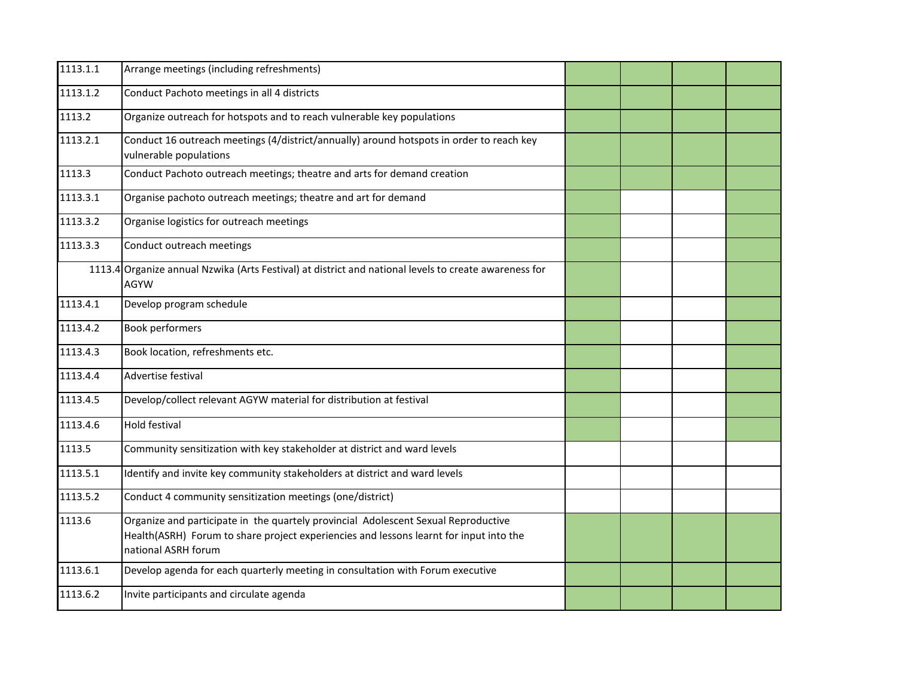| 1113.1.1 | Arrange meetings (including refreshments)                                                                                                                                                           |  |  |
|----------|-----------------------------------------------------------------------------------------------------------------------------------------------------------------------------------------------------|--|--|
| 1113.1.2 | Conduct Pachoto meetings in all 4 districts                                                                                                                                                         |  |  |
| 1113.2   | Organize outreach for hotspots and to reach vulnerable key populations                                                                                                                              |  |  |
| 1113.2.1 | Conduct 16 outreach meetings (4/district/annually) around hotspots in order to reach key<br>vulnerable populations                                                                                  |  |  |
| 1113.3   | Conduct Pachoto outreach meetings; theatre and arts for demand creation                                                                                                                             |  |  |
| 1113.3.1 | Organise pachoto outreach meetings; theatre and art for demand                                                                                                                                      |  |  |
| 1113.3.2 | Organise logistics for outreach meetings                                                                                                                                                            |  |  |
| 1113.3.3 | Conduct outreach meetings                                                                                                                                                                           |  |  |
| 1113.4   | Organize annual Nzwika (Arts Festival) at district and national levels to create awareness for<br><b>AGYW</b>                                                                                       |  |  |
| 1113.4.1 | Develop program schedule                                                                                                                                                                            |  |  |
| 1113.4.2 | <b>Book performers</b>                                                                                                                                                                              |  |  |
| 1113.4.3 | Book location, refreshments etc.                                                                                                                                                                    |  |  |
| 1113.4.4 | Advertise festival                                                                                                                                                                                  |  |  |
| 1113.4.5 | Develop/collect relevant AGYW material for distribution at festival                                                                                                                                 |  |  |
| 1113.4.6 | <b>Hold festival</b>                                                                                                                                                                                |  |  |
| 1113.5   | Community sensitization with key stakeholder at district and ward levels                                                                                                                            |  |  |
| 1113.5.1 | Identify and invite key community stakeholders at district and ward levels                                                                                                                          |  |  |
| 1113.5.2 | Conduct 4 community sensitization meetings (one/district)                                                                                                                                           |  |  |
| 1113.6   | Organize and participate in the quartely provincial Adolescent Sexual Reproductive<br>Health(ASRH) Forum to share project experiencies and lessons learnt for input into the<br>national ASRH forum |  |  |
| 1113.6.1 | Develop agenda for each quarterly meeting in consultation with Forum executive                                                                                                                      |  |  |
| 1113.6.2 | Invite participants and circulate agenda                                                                                                                                                            |  |  |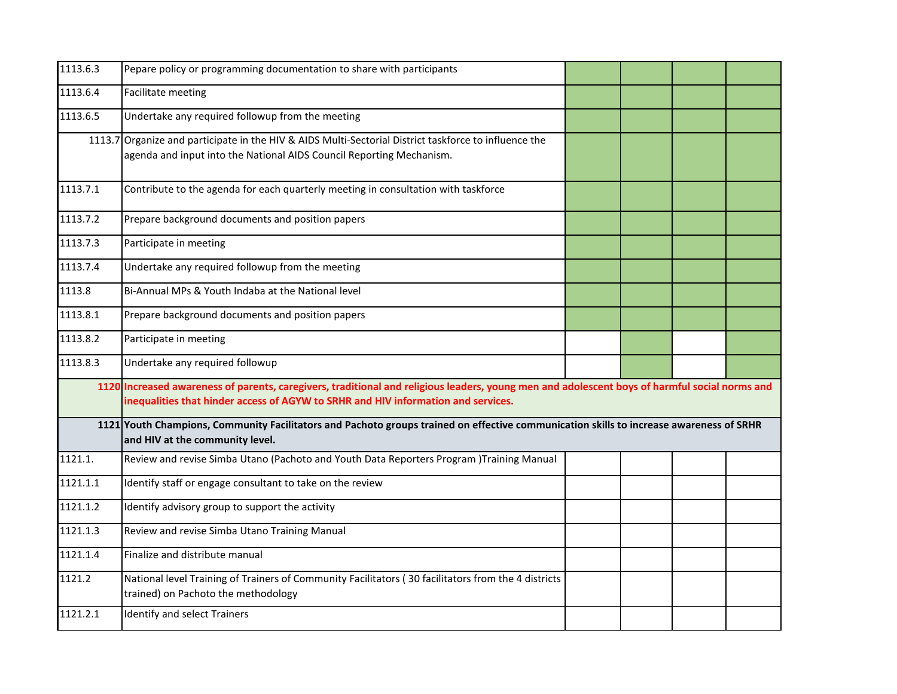| 1113.6.3 | Pepare policy or programming documentation to share with participants                                                                                                                                                              |  |  |
|----------|------------------------------------------------------------------------------------------------------------------------------------------------------------------------------------------------------------------------------------|--|--|
| 1113.6.4 | Facilitate meeting                                                                                                                                                                                                                 |  |  |
| 1113.6.5 | Undertake any required followup from the meeting                                                                                                                                                                                   |  |  |
|          | 1113.7 Organize and participate in the HIV & AIDS Multi-Sectorial District taskforce to influence the<br>agenda and input into the National AIDS Council Reporting Mechanism.                                                      |  |  |
| 1113.7.1 | Contribute to the agenda for each quarterly meeting in consultation with taskforce                                                                                                                                                 |  |  |
| 1113.7.2 | Prepare background documents and position papers                                                                                                                                                                                   |  |  |
| 1113.7.3 | Participate in meeting                                                                                                                                                                                                             |  |  |
| 1113.7.4 | Undertake any required followup from the meeting                                                                                                                                                                                   |  |  |
| 1113.8   | Bi-Annual MPs & Youth Indaba at the National level                                                                                                                                                                                 |  |  |
| 1113.8.1 | Prepare background documents and position papers                                                                                                                                                                                   |  |  |
| 1113.8.2 | Participate in meeting                                                                                                                                                                                                             |  |  |
| 1113.8.3 | Undertake any required followup                                                                                                                                                                                                    |  |  |
|          | 1120 Increased awareness of parents, caregivers, traditional and religious leaders, young men and adolescent boys of harmful social norms and<br>inequalities that hinder access of AGYW to SRHR and HIV information and services. |  |  |
|          | 1121 Youth Champions, Community Facilitators and Pachoto groups trained on effective communication skills to increase awareness of SRHR<br>and HIV at the community level.                                                         |  |  |
| 1121.1.  | Review and revise Simba Utano (Pachoto and Youth Data Reporters Program )Training Manual                                                                                                                                           |  |  |
| 1121.1.1 | Identify staff or engage consultant to take on the review                                                                                                                                                                          |  |  |
| 1121.1.2 | Identify advisory group to support the activity                                                                                                                                                                                    |  |  |
| 1121.1.3 | Review and revise Simba Utano Training Manual                                                                                                                                                                                      |  |  |
| 1121.1.4 | Finalize and distribute manual                                                                                                                                                                                                     |  |  |
| 1121.2   | National level Training of Trainers of Community Facilitators (30 facilitators from the 4 districts<br>trained) on Pachoto the methodology                                                                                         |  |  |
| 1121.2.1 | Identify and select Trainers                                                                                                                                                                                                       |  |  |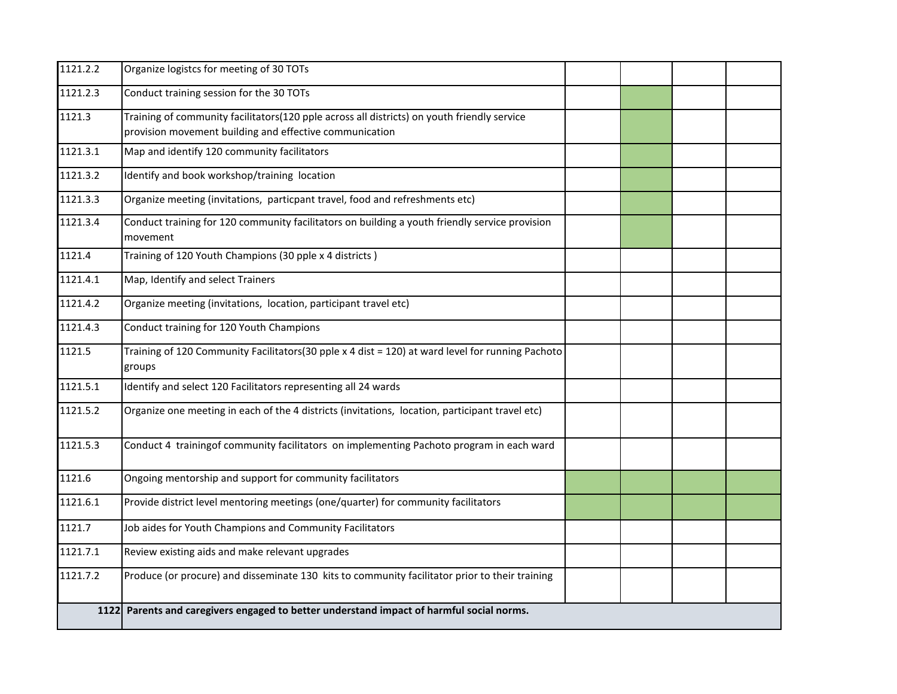| 1121.2.2 | Organize logistcs for meeting of 30 TOTs                                                                   |  |  |
|----------|------------------------------------------------------------------------------------------------------------|--|--|
| 1121.2.3 | Conduct training session for the 30 TOTs                                                                   |  |  |
| 1121.3   | Training of community facilitators(120 pple across all districts) on youth friendly service                |  |  |
|          | provision movement building and effective communication                                                    |  |  |
| 1121.3.1 | Map and identify 120 community facilitators                                                                |  |  |
| 1121.3.2 | Identify and book workshop/training location                                                               |  |  |
| 1121.3.3 | Organize meeting (invitations, particpant travel, food and refreshments etc)                               |  |  |
| 1121.3.4 | Conduct training for 120 community facilitators on building a youth friendly service provision             |  |  |
|          | movement                                                                                                   |  |  |
| 1121.4   | Training of 120 Youth Champions (30 pple x 4 districts)                                                    |  |  |
| 1121.4.1 | Map, Identify and select Trainers                                                                          |  |  |
| 1121.4.2 | Organize meeting (invitations, location, participant travel etc)                                           |  |  |
| 1121.4.3 | Conduct training for 120 Youth Champions                                                                   |  |  |
| 1121.5   | Training of 120 Community Facilitators(30 pple x 4 dist = 120) at ward level for running Pachoto<br>groups |  |  |
| 1121.5.1 | Identify and select 120 Facilitators representing all 24 wards                                             |  |  |
| 1121.5.2 | Organize one meeting in each of the 4 districts (invitations, location, participant travel etc)            |  |  |
| 1121.5.3 | Conduct 4 trainingof community facilitators on implementing Pachoto program in each ward                   |  |  |
| 1121.6   | Ongoing mentorship and support for community facilitators                                                  |  |  |
| 1121.6.1 | Provide district level mentoring meetings (one/quarter) for community facilitators                         |  |  |
| 1121.7   | Job aides for Youth Champions and Community Facilitators                                                   |  |  |
| 1121.7.1 | Review existing aids and make relevant upgrades                                                            |  |  |
| 1121.7.2 | Produce (or procure) and disseminate 130 kits to community facilitator prior to their training             |  |  |
|          | 1122 Parents and caregivers engaged to better understand impact of harmful social norms.                   |  |  |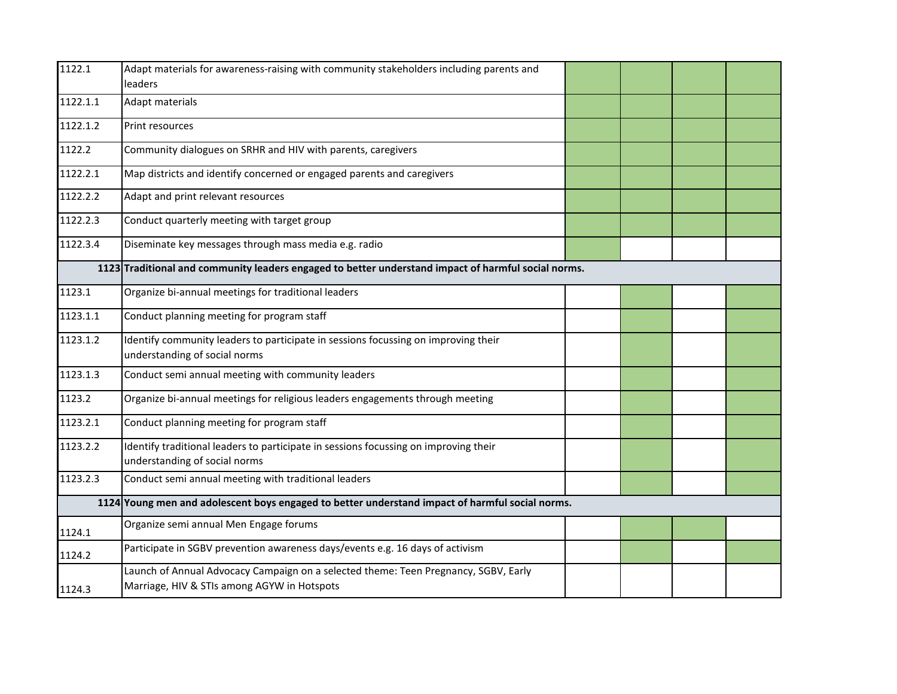| 1122.1   | Adapt materials for awareness-raising with community stakeholders including parents and<br>leaders                                 |  |  |
|----------|------------------------------------------------------------------------------------------------------------------------------------|--|--|
| 1122.1.1 | <b>Adapt materials</b>                                                                                                             |  |  |
| 1122.1.2 | Print resources                                                                                                                    |  |  |
| 1122.2   | Community dialogues on SRHR and HIV with parents, caregivers                                                                       |  |  |
| 1122.2.1 | Map districts and identify concerned or engaged parents and caregivers                                                             |  |  |
| 1122.2.2 | Adapt and print relevant resources                                                                                                 |  |  |
| 1122.2.3 | Conduct quarterly meeting with target group                                                                                        |  |  |
| 1122.3.4 | Diseminate key messages through mass media e.g. radio                                                                              |  |  |
|          | 1123 Traditional and community leaders engaged to better understand impact of harmful social norms.                                |  |  |
| 1123.1   | Organize bi-annual meetings for traditional leaders                                                                                |  |  |
| 1123.1.1 | Conduct planning meeting for program staff                                                                                         |  |  |
| 1123.1.2 | Identify community leaders to participate in sessions focussing on improving their<br>understanding of social norms                |  |  |
| 1123.1.3 | Conduct semi annual meeting with community leaders                                                                                 |  |  |
| 1123.2   | Organize bi-annual meetings for religious leaders engagements through meeting                                                      |  |  |
| 1123.2.1 | Conduct planning meeting for program staff                                                                                         |  |  |
| 1123.2.2 | Identify traditional leaders to participate in sessions focussing on improving their<br>understanding of social norms              |  |  |
| 1123.2.3 | Conduct semi annual meeting with traditional leaders                                                                               |  |  |
|          | 1124 Young men and adolescent boys engaged to better understand impact of harmful social norms.                                    |  |  |
| 1124.1   | Organize semi annual Men Engage forums                                                                                             |  |  |
| 1124.2   | Participate in SGBV prevention awareness days/events e.g. 16 days of activism                                                      |  |  |
| 1124.3   | Launch of Annual Advocacy Campaign on a selected theme: Teen Pregnancy, SGBV, Early<br>Marriage, HIV & STIs among AGYW in Hotspots |  |  |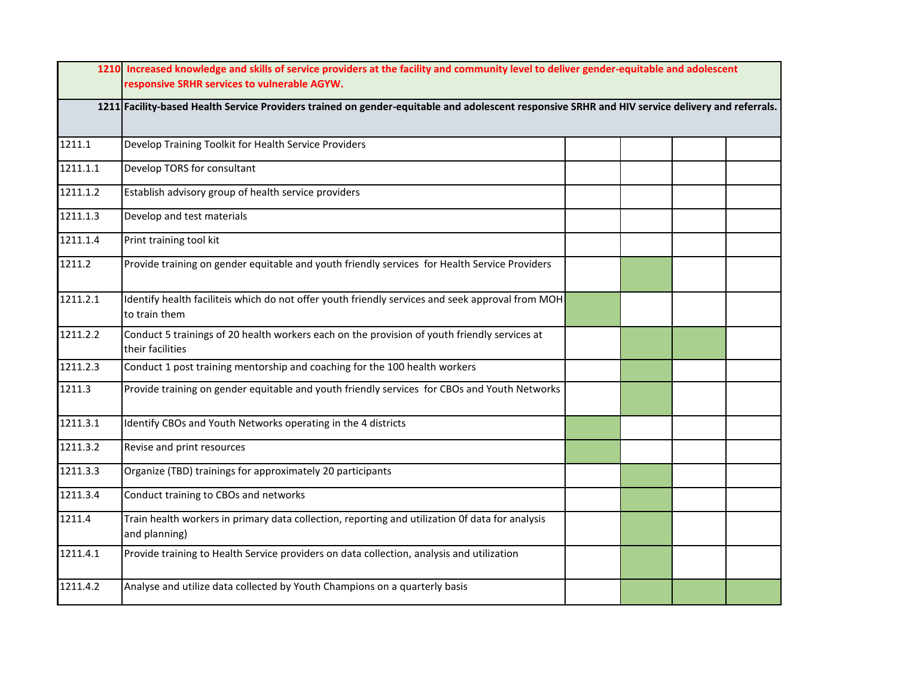|                     | 1210 Increased knowledge and skills of service providers at the facility and community level to deliver gender-equitable and adolescent<br>responsive SRHR services to vulnerable AGYW. |  |  |  |  |  |  |
|---------------------|-----------------------------------------------------------------------------------------------------------------------------------------------------------------------------------------|--|--|--|--|--|--|
|                     | 1211 Facility-based Health Service Providers trained on gender-equitable and adolescent responsive SRHR and HIV service delivery and referrals.                                         |  |  |  |  |  |  |
| 1211.1              | Develop Training Toolkit for Health Service Providers                                                                                                                                   |  |  |  |  |  |  |
| 1211.1.1            | Develop TORS for consultant                                                                                                                                                             |  |  |  |  |  |  |
| 1211.1.2            | Establish advisory group of health service providers                                                                                                                                    |  |  |  |  |  |  |
| 1211.1.3            | Develop and test materials                                                                                                                                                              |  |  |  |  |  |  |
| 1211.1.4            | Print training tool kit                                                                                                                                                                 |  |  |  |  |  |  |
| $\overline{1}211.2$ | Provide training on gender equitable and youth friendly services for Health Service Providers                                                                                           |  |  |  |  |  |  |
| 1211.2.1            | Identify health faciliteis which do not offer youth friendly services and seek approval from MOH<br>to train them                                                                       |  |  |  |  |  |  |
| 1211.2.2            | Conduct 5 trainings of 20 health workers each on the provision of youth friendly services at<br>their facilities                                                                        |  |  |  |  |  |  |
| 1211.2.3            | Conduct 1 post training mentorship and coaching for the 100 health workers                                                                                                              |  |  |  |  |  |  |
| 1211.3              | Provide training on gender equitable and youth friendly services for CBOs and Youth Networks                                                                                            |  |  |  |  |  |  |
| 1211.3.1            | Identify CBOs and Youth Networks operating in the 4 districts                                                                                                                           |  |  |  |  |  |  |
| 1211.3.2            | Revise and print resources                                                                                                                                                              |  |  |  |  |  |  |
| 1211.3.3            | Organize (TBD) trainings for approximately 20 participants                                                                                                                              |  |  |  |  |  |  |
| 1211.3.4            | Conduct training to CBOs and networks                                                                                                                                                   |  |  |  |  |  |  |
| 1211.4              | Train health workers in primary data collection, reporting and utilization Of data for analysis<br>and planning)                                                                        |  |  |  |  |  |  |
| 1211.4.1            | Provide training to Health Service providers on data collection, analysis and utilization                                                                                               |  |  |  |  |  |  |
| 1211.4.2            | Analyse and utilize data collected by Youth Champions on a quarterly basis                                                                                                              |  |  |  |  |  |  |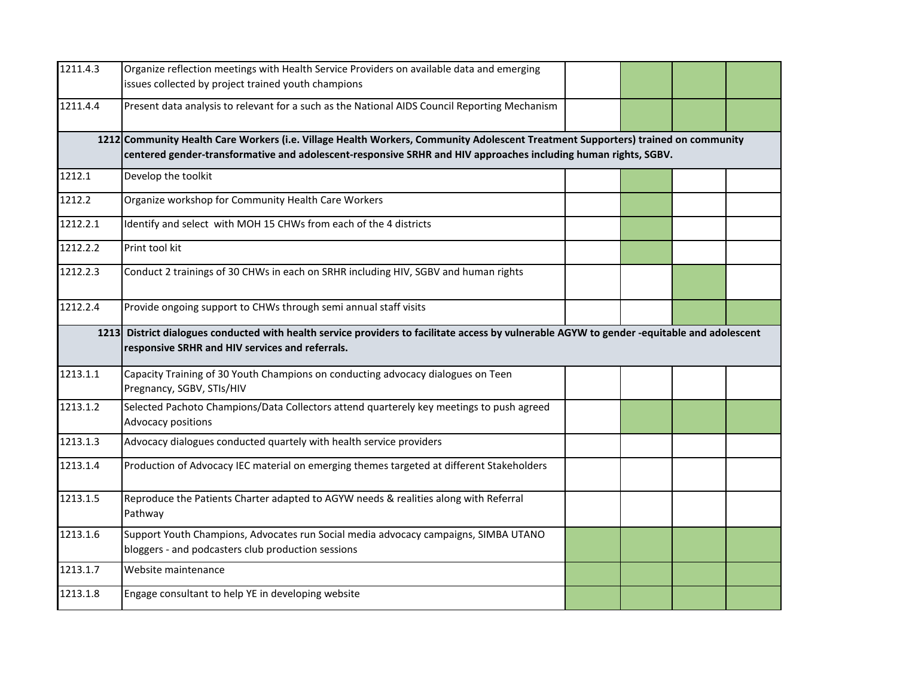| 1211.4.3 | Organize reflection meetings with Health Service Providers on available data and emerging<br>issues collected by project trained youth champions                                                                                                   |  |  |  |  |  |  |  |
|----------|----------------------------------------------------------------------------------------------------------------------------------------------------------------------------------------------------------------------------------------------------|--|--|--|--|--|--|--|
| 1211.4.4 | Present data analysis to relevant for a such as the National AIDS Council Reporting Mechanism                                                                                                                                                      |  |  |  |  |  |  |  |
|          | 1212 Community Health Care Workers (i.e. Village Health Workers, Community Adolescent Treatment Supporters) trained on community<br>centered gender-transformative and adolescent-responsive SRHR and HIV approaches including human rights, SGBV. |  |  |  |  |  |  |  |
| 1212.1   | Develop the toolkit                                                                                                                                                                                                                                |  |  |  |  |  |  |  |
| 1212.2   | Organize workshop for Community Health Care Workers                                                                                                                                                                                                |  |  |  |  |  |  |  |
| 1212.2.1 | Identify and select with MOH 15 CHWs from each of the 4 districts                                                                                                                                                                                  |  |  |  |  |  |  |  |
| 1212.2.2 | Print tool kit                                                                                                                                                                                                                                     |  |  |  |  |  |  |  |
| 1212.2.3 | Conduct 2 trainings of 30 CHWs in each on SRHR including HIV, SGBV and human rights                                                                                                                                                                |  |  |  |  |  |  |  |
| 1212.2.4 | Provide ongoing support to CHWs through semi annual staff visits                                                                                                                                                                                   |  |  |  |  |  |  |  |
|          | 1213 District dialogues conducted with health service providers to facilitate access by vulnerable AGYW to gender -equitable and adolescent<br>responsive SRHR and HIV services and referrals.                                                     |  |  |  |  |  |  |  |
| 1213.1.1 | Capacity Training of 30 Youth Champions on conducting advocacy dialogues on Teen<br>Pregnancy, SGBV, STIs/HIV                                                                                                                                      |  |  |  |  |  |  |  |
| 1213.1.2 | Selected Pachoto Champions/Data Collectors attend quarterely key meetings to push agreed<br>Advocacy positions                                                                                                                                     |  |  |  |  |  |  |  |
| 1213.1.3 | Advocacy dialogues conducted quartely with health service providers                                                                                                                                                                                |  |  |  |  |  |  |  |
| 1213.1.4 | Production of Advocacy IEC material on emerging themes targeted at different Stakeholders                                                                                                                                                          |  |  |  |  |  |  |  |
| 1213.1.5 | Reproduce the Patients Charter adapted to AGYW needs & realities along with Referral<br>Pathway                                                                                                                                                    |  |  |  |  |  |  |  |
| 1213.1.6 | Support Youth Champions, Advocates run Social media advocacy campaigns, SIMBA UTANO<br>bloggers - and podcasters club production sessions                                                                                                          |  |  |  |  |  |  |  |
| 1213.1.7 | Website maintenance                                                                                                                                                                                                                                |  |  |  |  |  |  |  |
| 1213.1.8 | Engage consultant to help YE in developing website                                                                                                                                                                                                 |  |  |  |  |  |  |  |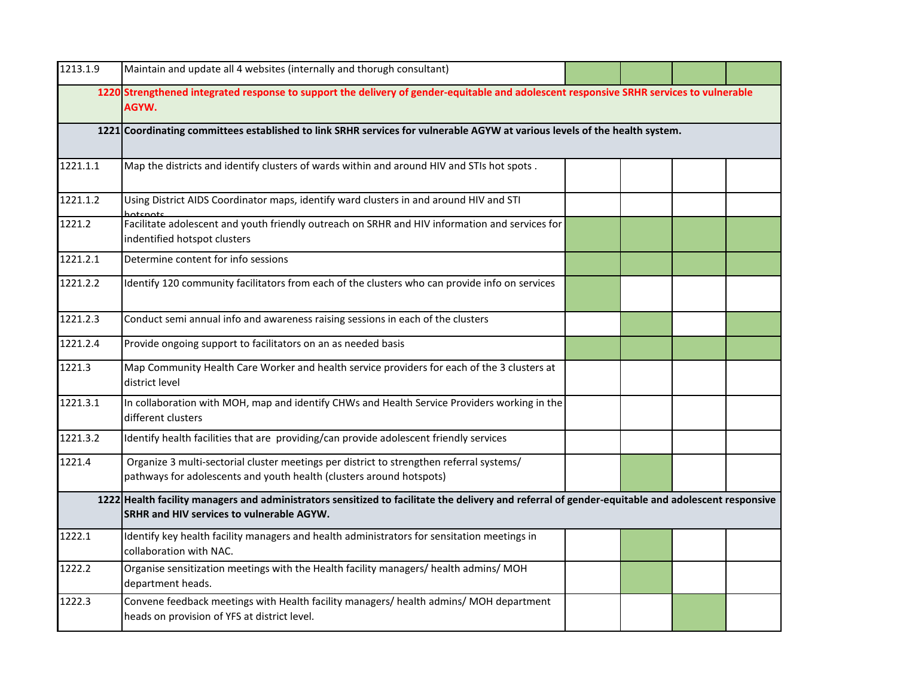| 1213.1.9 | Maintain and update all 4 websites (internally and thorugh consultant)                                                                                                                         |  |  |  |  |  |  |  |  |
|----------|------------------------------------------------------------------------------------------------------------------------------------------------------------------------------------------------|--|--|--|--|--|--|--|--|
|          | 1220 Strengthened integrated response to support the delivery of gender-equitable and adolescent responsive SRHR services to vulnerable<br>AGYW.                                               |  |  |  |  |  |  |  |  |
|          | 1221 Coordinating committees established to link SRHR services for vulnerable AGYW at various levels of the health system.                                                                     |  |  |  |  |  |  |  |  |
| 1221.1.1 | Map the districts and identify clusters of wards within and around HIV and STIs hot spots.                                                                                                     |  |  |  |  |  |  |  |  |
| 1221.1.2 | Using District AIDS Coordinator maps, identify ward clusters in and around HIV and STI                                                                                                         |  |  |  |  |  |  |  |  |
| 1221.2   | Facilitate adolescent and youth friendly outreach on SRHR and HIV information and services for<br>indentified hotspot clusters                                                                 |  |  |  |  |  |  |  |  |
| 1221.2.1 | Determine content for info sessions                                                                                                                                                            |  |  |  |  |  |  |  |  |
| 1221.2.2 | Identify 120 community facilitators from each of the clusters who can provide info on services                                                                                                 |  |  |  |  |  |  |  |  |
| 1221.2.3 | Conduct semi annual info and awareness raising sessions in each of the clusters                                                                                                                |  |  |  |  |  |  |  |  |
| 1221.2.4 | Provide ongoing support to facilitators on an as needed basis                                                                                                                                  |  |  |  |  |  |  |  |  |
| 1221.3   | Map Community Health Care Worker and health service providers for each of the 3 clusters at<br>district level                                                                                  |  |  |  |  |  |  |  |  |
| 1221.3.1 | In collaboration with MOH, map and identify CHWs and Health Service Providers working in the<br>different clusters                                                                             |  |  |  |  |  |  |  |  |
| 1221.3.2 | Identify health facilities that are providing/can provide adolescent friendly services                                                                                                         |  |  |  |  |  |  |  |  |
| 1221.4   | Organize 3 multi-sectorial cluster meetings per district to strengthen referral systems/<br>pathways for adolescents and youth health (clusters around hotspots)                               |  |  |  |  |  |  |  |  |
|          | 1222 Health facility managers and administrators sensitized to facilitate the delivery and referral of gender-equitable and adolescent responsive<br>SRHR and HIV services to vulnerable AGYW. |  |  |  |  |  |  |  |  |
| 1222.1   | Identify key health facility managers and health administrators for sensitation meetings in<br>collaboration with NAC.                                                                         |  |  |  |  |  |  |  |  |
| 1222.2   | Organise sensitization meetings with the Health facility managers/ health admins/ MOH<br>department heads.                                                                                     |  |  |  |  |  |  |  |  |
| 1222.3   | Convene feedback meetings with Health facility managers/ health admins/ MOH department<br>heads on provision of YFS at district level.                                                         |  |  |  |  |  |  |  |  |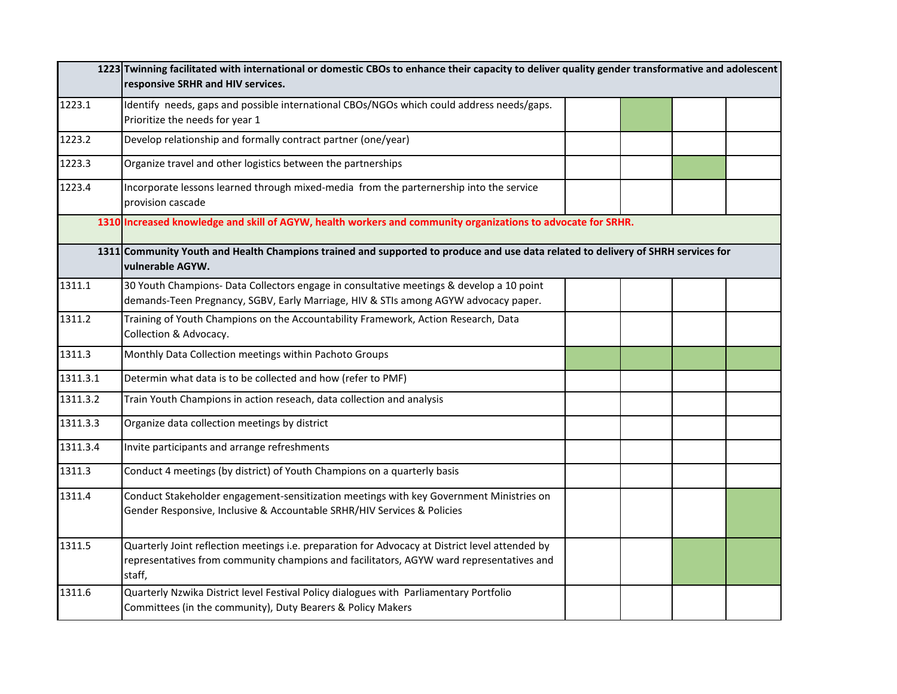|          | 1223 Twinning facilitated with international or domestic CBOs to enhance their capacity to deliver quality gender transformative and adolescent<br>responsive SRHR and HIV services.                  |  |  |
|----------|-------------------------------------------------------------------------------------------------------------------------------------------------------------------------------------------------------|--|--|
| 1223.1   | Identify needs, gaps and possible international CBOs/NGOs which could address needs/gaps.                                                                                                             |  |  |
|          | Prioritize the needs for year 1                                                                                                                                                                       |  |  |
| 1223.2   | Develop relationship and formally contract partner (one/year)                                                                                                                                         |  |  |
| 1223.3   | Organize travel and other logistics between the partnerships                                                                                                                                          |  |  |
| 1223.4   | Incorporate lessons learned through mixed-media from the parternership into the service<br>provision cascade                                                                                          |  |  |
|          | 1310 Increased knowledge and skill of AGYW, health workers and community organizations to advocate for SRHR.                                                                                          |  |  |
|          | 1311 Community Youth and Health Champions trained and supported to produce and use data related to delivery of SHRH services for<br>vulnerable AGYW.                                                  |  |  |
| 1311.1   | 30 Youth Champions- Data Collectors engage in consultative meetings & develop a 10 point<br>demands-Teen Pregnancy, SGBV, Early Marriage, HIV & STIs among AGYW advocacy paper.                       |  |  |
| 1311.2   | Training of Youth Champions on the Accountability Framework, Action Research, Data<br>Collection & Advocacy.                                                                                          |  |  |
| 1311.3   | Monthly Data Collection meetings within Pachoto Groups                                                                                                                                                |  |  |
| 1311.3.1 | Determin what data is to be collected and how (refer to PMF)                                                                                                                                          |  |  |
| 1311.3.2 | Train Youth Champions in action reseach, data collection and analysis                                                                                                                                 |  |  |
| 1311.3.3 | Organize data collection meetings by district                                                                                                                                                         |  |  |
| 1311.3.4 | Invite participants and arrange refreshments                                                                                                                                                          |  |  |
| 1311.3   | Conduct 4 meetings (by district) of Youth Champions on a quarterly basis                                                                                                                              |  |  |
| 1311.4   | Conduct Stakeholder engagement-sensitization meetings with key Government Ministries on<br>Gender Responsive, Inclusive & Accountable SRHR/HIV Services & Policies                                    |  |  |
| 1311.5   | Quarterly Joint reflection meetings i.e. preparation for Advocacy at District level attended by<br>representatives from community champions and facilitators, AGYW ward representatives and<br>staff, |  |  |
| 1311.6   | Quarterly Nzwika District level Festival Policy dialogues with Parliamentary Portfolio<br>Committees (in the community), Duty Bearers & Policy Makers                                                 |  |  |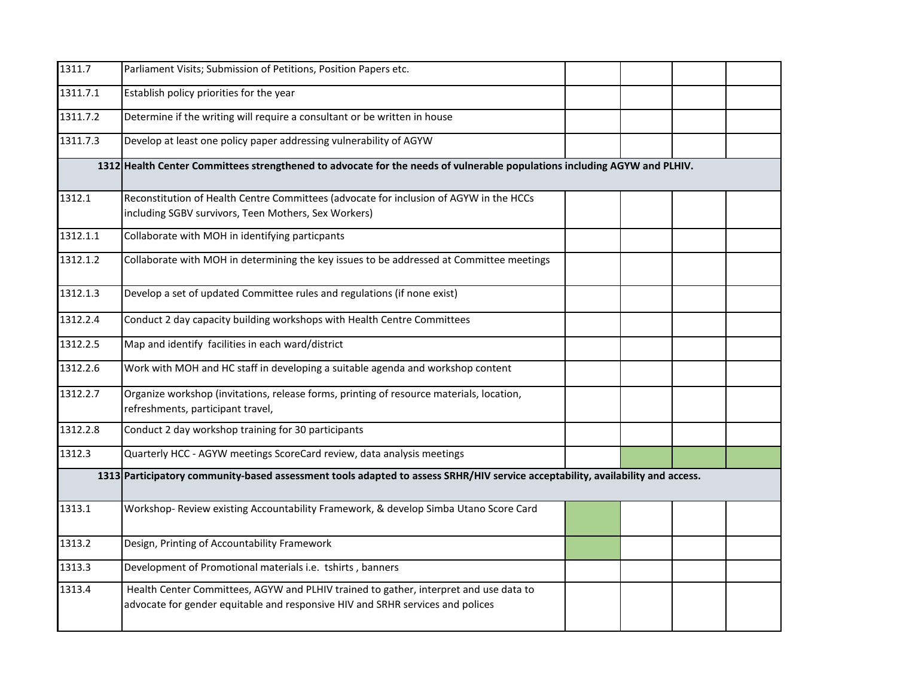| 1311.7   | Parliament Visits; Submission of Petitions, Position Papers etc.                                                                                                        |  |  |  |  |  |  |  |
|----------|-------------------------------------------------------------------------------------------------------------------------------------------------------------------------|--|--|--|--|--|--|--|
| 1311.7.1 | Establish policy priorities for the year                                                                                                                                |  |  |  |  |  |  |  |
| 1311.7.2 | Determine if the writing will require a consultant or be written in house                                                                                               |  |  |  |  |  |  |  |
| 1311.7.3 | Develop at least one policy paper addressing vulnerability of AGYW                                                                                                      |  |  |  |  |  |  |  |
|          | 1312 Health Center Committees strengthened to advocate for the needs of vulnerable populations including AGYW and PLHIV.                                                |  |  |  |  |  |  |  |
| 1312.1   | Reconstitution of Health Centre Committees (advocate for inclusion of AGYW in the HCCs                                                                                  |  |  |  |  |  |  |  |
|          | including SGBV survivors, Teen Mothers, Sex Workers)                                                                                                                    |  |  |  |  |  |  |  |
| 1312.1.1 | Collaborate with MOH in identifying particpants                                                                                                                         |  |  |  |  |  |  |  |
| 1312.1.2 | Collaborate with MOH in determining the key issues to be addressed at Committee meetings                                                                                |  |  |  |  |  |  |  |
| 1312.1.3 | Develop a set of updated Committee rules and regulations (if none exist)                                                                                                |  |  |  |  |  |  |  |
| 1312.2.4 | Conduct 2 day capacity building workshops with Health Centre Committees                                                                                                 |  |  |  |  |  |  |  |
| 1312.2.5 | Map and identify facilities in each ward/district                                                                                                                       |  |  |  |  |  |  |  |
| 1312.2.6 | Work with MOH and HC staff in developing a suitable agenda and workshop content                                                                                         |  |  |  |  |  |  |  |
| 1312.2.7 | Organize workshop (invitations, release forms, printing of resource materials, location,<br>refreshments, participant travel,                                           |  |  |  |  |  |  |  |
| 1312.2.8 | Conduct 2 day workshop training for 30 participants                                                                                                                     |  |  |  |  |  |  |  |
| 1312.3   | Quarterly HCC - AGYW meetings ScoreCard review, data analysis meetings                                                                                                  |  |  |  |  |  |  |  |
|          | 1313 Participatory community-based assessment tools adapted to assess SRHR/HIV service acceptability, availability and access.                                          |  |  |  |  |  |  |  |
| 1313.1   | Workshop- Review existing Accountability Framework, & develop Simba Utano Score Card                                                                                    |  |  |  |  |  |  |  |
| 1313.2   | Design, Printing of Accountability Framework                                                                                                                            |  |  |  |  |  |  |  |
| 1313.3   | Development of Promotional materials i.e. tshirts, banners                                                                                                              |  |  |  |  |  |  |  |
| 1313.4   | Health Center Committees, AGYW and PLHIV trained to gather, interpret and use data to<br>advocate for gender equitable and responsive HIV and SRHR services and polices |  |  |  |  |  |  |  |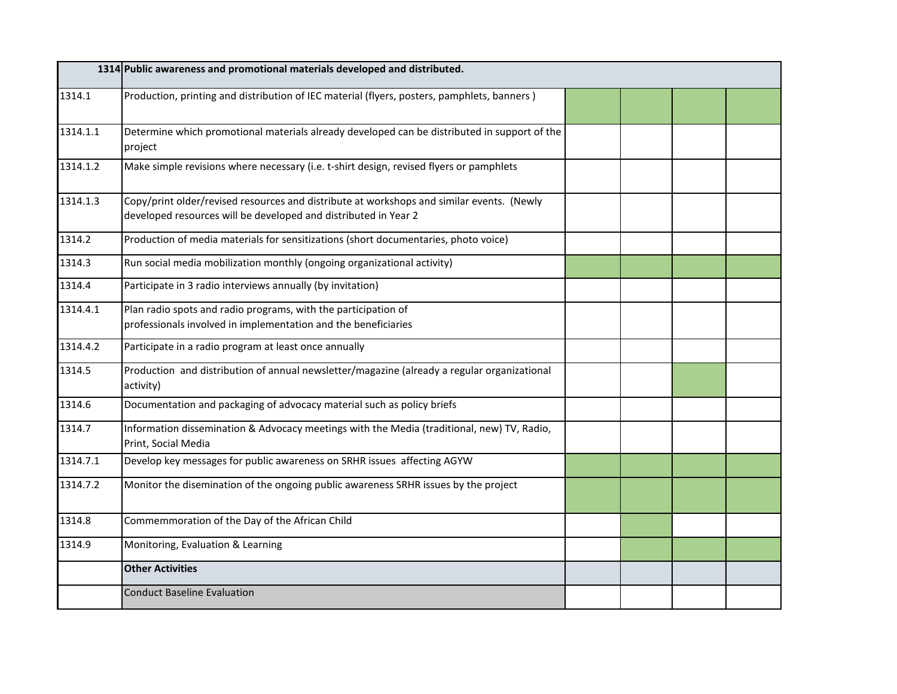|          | 1314 Public awareness and promotional materials developed and distributed.                                                                                   |  |  |
|----------|--------------------------------------------------------------------------------------------------------------------------------------------------------------|--|--|
| 1314.1   | Production, printing and distribution of IEC material (flyers, posters, pamphlets, banners)                                                                  |  |  |
| 1314.1.1 | Determine which promotional materials already developed can be distributed in support of the<br>project                                                      |  |  |
| 1314.1.2 | Make simple revisions where necessary (i.e. t-shirt design, revised flyers or pamphlets                                                                      |  |  |
| 1314.1.3 | Copy/print older/revised resources and distribute at workshops and similar events. (Newly<br>developed resources will be developed and distributed in Year 2 |  |  |
| 1314.2   | Production of media materials for sensitizations (short documentaries, photo voice)                                                                          |  |  |
| 1314.3   | Run social media mobilization monthly (ongoing organizational activity)                                                                                      |  |  |
| 1314.4   | Participate in 3 radio interviews annually (by invitation)                                                                                                   |  |  |
| 1314.4.1 | Plan radio spots and radio programs, with the participation of<br>professionals involved in implementation and the beneficiaries                             |  |  |
| 1314.4.2 | Participate in a radio program at least once annually                                                                                                        |  |  |
| 1314.5   | Production and distribution of annual newsletter/magazine (already a regular organizational<br>activity)                                                     |  |  |
| 1314.6   | Documentation and packaging of advocacy material such as policy briefs                                                                                       |  |  |
| 1314.7   | Information dissemination & Advocacy meetings with the Media (traditional, new) TV, Radio,<br>Print, Social Media                                            |  |  |
| 1314.7.1 | Develop key messages for public awareness on SRHR issues affecting AGYW                                                                                      |  |  |
| 1314.7.2 | Monitor the disemination of the ongoing public awareness SRHR issues by the project                                                                          |  |  |
| 1314.8   | Commemmoration of the Day of the African Child                                                                                                               |  |  |
| 1314.9   | Monitoring, Evaluation & Learning                                                                                                                            |  |  |
|          | <b>Other Activities</b>                                                                                                                                      |  |  |
|          | <b>Conduct Baseline Evaluation</b>                                                                                                                           |  |  |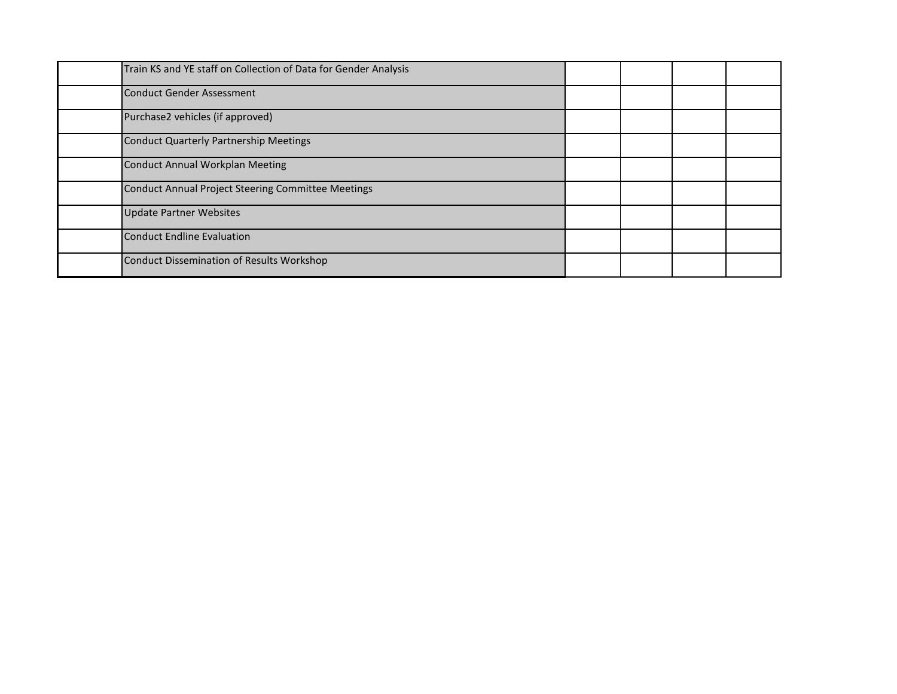| Train KS and YE staff on Collection of Data for Gender Analysis |  |  |  |
|-----------------------------------------------------------------|--|--|--|
| <b>Conduct Gender Assessment</b>                                |  |  |  |
| Purchase2 vehicles (if approved)                                |  |  |  |
| Conduct Quarterly Partnership Meetings                          |  |  |  |
| <b>Conduct Annual Workplan Meeting</b>                          |  |  |  |
| Conduct Annual Project Steering Committee Meetings              |  |  |  |
| <b>Update Partner Websites</b>                                  |  |  |  |
| <b>Conduct Endline Evaluation</b>                               |  |  |  |
| <b>Conduct Dissemination of Results Workshop</b>                |  |  |  |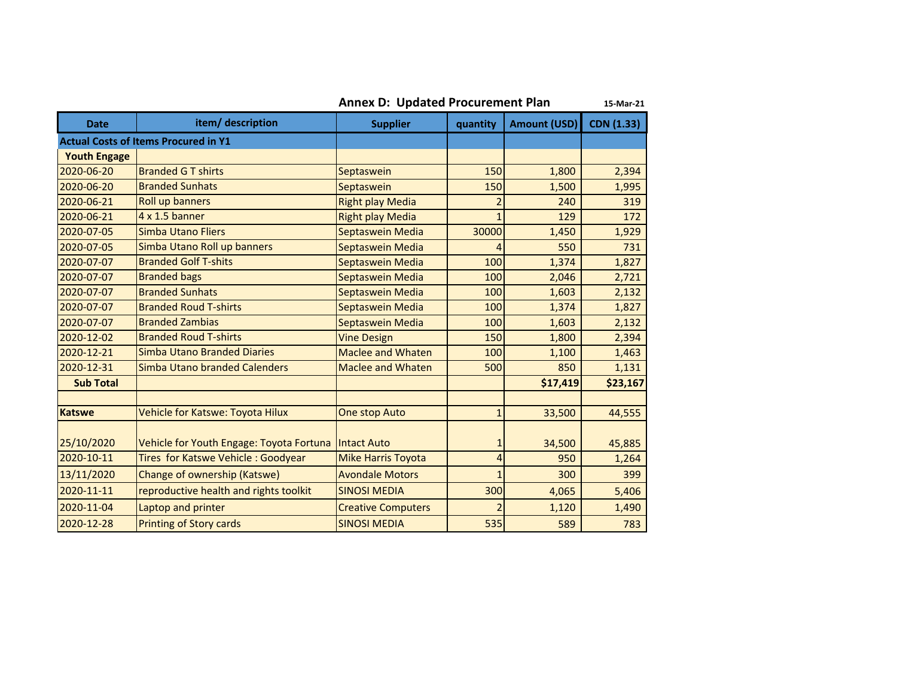**Annex D: Updated Procurement Plan 15-Mar-21**

| <b>Date</b>         | item/ description                           | <b>Supplier</b>           | quantity       | <b>Amount (USD)</b> | <b>CDN (1.33)</b> |
|---------------------|---------------------------------------------|---------------------------|----------------|---------------------|-------------------|
|                     | <b>Actual Costs of Items Procured in Y1</b> |                           |                |                     |                   |
| <b>Youth Engage</b> |                                             |                           |                |                     |                   |
| 2020-06-20          | <b>Branded G T shirts</b>                   | Septaswein                | 150            | 1,800               | 2,394             |
| 2020-06-20          | <b>Branded Sunhats</b>                      | Septaswein                | 150            | 1,500               | 1,995             |
| 2020-06-21          | Roll up banners                             | <b>Right play Media</b>   | $\overline{c}$ | 240                 | 319               |
| 2020-06-21          | $4 \times 1.5$ banner                       | <b>Right play Media</b>   | $\mathbf{1}$   | 129                 | 172               |
| 2020-07-05          | Simba Utano Fliers                          | Septaswein Media          | 30000          | 1,450               | 1,929             |
| 2020-07-05          | Simba Utano Roll up banners                 | Septaswein Media          | 4              | 550                 | 731               |
| 2020-07-07          | <b>Branded Golf T-shits</b>                 | Septaswein Media          | 100            | 1,374               | 1,827             |
| 2020-07-07          | <b>Branded bags</b>                         | Septaswein Media          | 100            | 2,046               | 2,721             |
| 2020-07-07          | <b>Branded Sunhats</b>                      | Septaswein Media          | 100            | 1,603               | 2,132             |
| 2020-07-07          | <b>Branded Roud T-shirts</b>                | Septaswein Media          | 100            | 1,374               | 1,827             |
| 2020-07-07          | <b>Branded Zambias</b>                      | Septaswein Media          | 100            | 1,603               | 2,132             |
| 2020-12-02          | <b>Branded Roud T-shirts</b>                | <b>Vine Design</b>        | 150            | 1,800               | 2,394             |
| 2020-12-21          | <b>Simba Utano Branded Diaries</b>          | <b>Maclee and Whaten</b>  | 100            | 1,100               | 1,463             |
| 2020-12-31          | Simba Utano branded Calenders               | <b>Maclee and Whaten</b>  | 500            | 850                 | 1,131             |
| <b>Sub Total</b>    |                                             |                           |                | \$17,419            | \$23,167          |
|                     |                                             |                           |                |                     |                   |
| <b>Katswe</b>       | Vehicle for Katswe: Toyota Hilux            | <b>One stop Auto</b>      | $\mathbf{1}$   | 33,500              | 44,555            |
|                     |                                             |                           |                |                     |                   |
| 25/10/2020          | Vehicle for Youth Engage: Toyota Fortuna    | <b>Intact Auto</b>        | 1              | 34,500              | 45,885            |
| 2020-10-11          | Tires for Katswe Vehicle: Goodyear          | <b>Mike Harris Toyota</b> | 4              | 950                 | 1,264             |
| 13/11/2020          | Change of ownership (Katswe)                | <b>Avondale Motors</b>    | 1              | 300                 | 399               |
| 2020-11-11          | reproductive health and rights toolkit      | <b>SINOSI MEDIA</b>       | 300            | 4,065               | 5,406             |
| 2020-11-04          | Laptop and printer                          | <b>Creative Computers</b> | $\overline{2}$ | 1,120               | 1,490             |
| 2020-12-28          | <b>Printing of Story cards</b>              | <b>SINOSI MEDIA</b>       | 535            | 589                 | 783               |